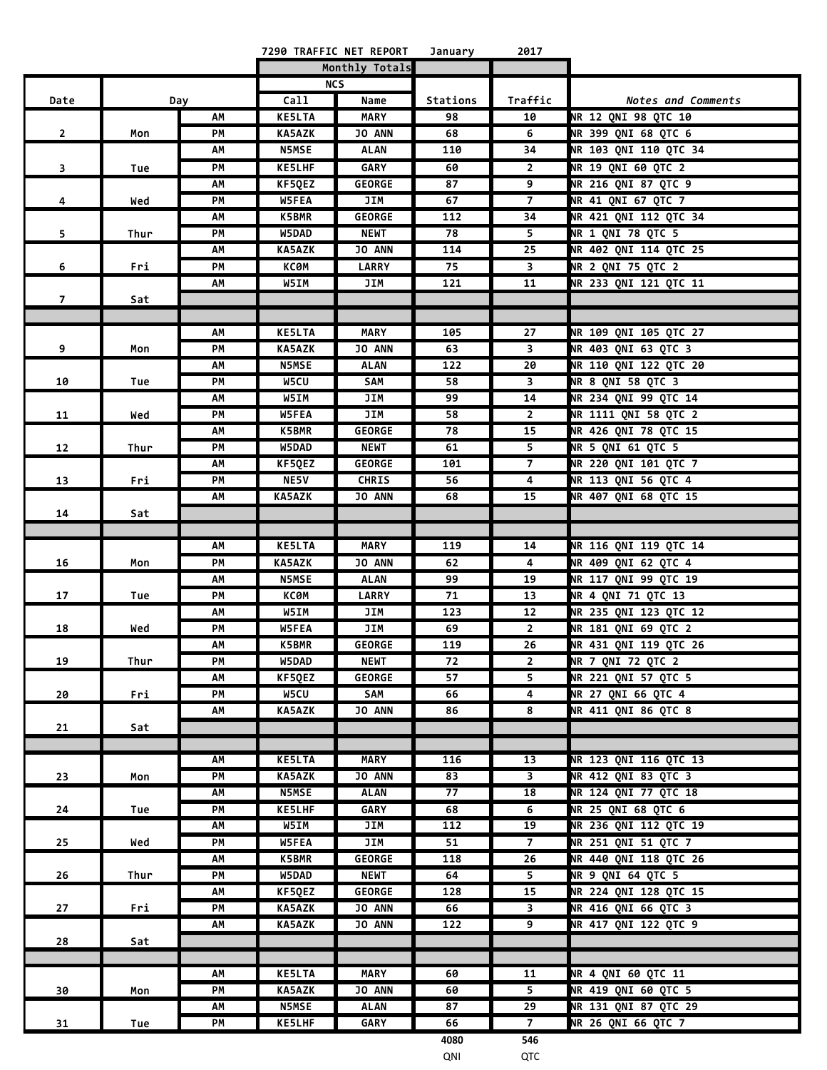|                |      |     |               | 7290 TRAFFIC NET REPORT | January  | 2017                    |                              |
|----------------|------|-----|---------------|-------------------------|----------|-------------------------|------------------------------|
|                |      |     |               | Monthly Totals          |          |                         |                              |
|                |      |     |               | <b>NCS</b>              |          |                         |                              |
| Date           |      | Day | Call          | Name                    | Stations | Traffic                 | Notes and Comments           |
|                |      | АΜ  | <b>KE5LTA</b> | MARY                    | 98       | 10                      | NR 12 QNI 98 QTC 10          |
| $\mathbf{2}$   | Mon  | PM  | <b>KA5AZK</b> | JO ANN                  | 68       | 6                       | NR 399 QNI 68 QTC 6          |
|                |      | АΜ  | <b>N5MSE</b>  | ALAN                    | 110      | 34                      | NR 103 QNI 110 QTC 34        |
| 3              | Tue  | PM  | <b>KE5LHF</b> | GARY                    | 60       | $\overline{2}$          | <b>NR 19 QNI 60 QTC 2</b>    |
|                |      | АΜ  | KF5QEZ        | <b>GEORGE</b>           | 87       | 9                       | <b>NR 216 QNI 87 QTC 9</b>   |
| 4              | Wed  | PМ  | <b>W5FEA</b>  | JIM                     | 67       | $\overline{7}$          | <b>NR 41 QNI 67 QTC 7</b>    |
|                |      | AM  | K5BMR         | <b>GEORGE</b>           | 112      | 34                      | NR 421 QNI 112 QTC 34        |
| 5              | Thur | PМ  | W5DAD         | <b>NEWT</b>             | 78       | 5                       | <b>NR 1 QNI 78 QTC 5</b>     |
|                |      | АΜ  | <b>KA5AZK</b> | <b>JO ANN</b>           | 114      | 25                      | NR 402 QNI 114 QTC 25        |
| 6              | Fri  | PM  | ксөм          | <b>LARRY</b>            | 75       | 3                       | NR 2 QNI 75 QTC 2            |
|                |      | АΜ  | W5IM          | JIM                     | 121      | 11                      | NR 233 QNI 121 QTC 11        |
| $\overline{z}$ | Sat  |     |               |                         |          |                         |                              |
|                |      |     |               |                         |          |                         |                              |
|                |      | АΜ  | <b>KE5LTA</b> | <b>MARY</b>             | 105      | 27                      | NR 109 QNI 105 QTC 27        |
| 9              | Mon  | PМ  | KA5AZK        | JO ANN                  | 63       | 3                       | NR 403 QNI 63 QTC 3          |
|                |      | AM  | <b>N5MSE</b>  | <b>ALAN</b>             | 122      | 20                      | <b>NR 110 QNI 122 QTC 20</b> |
| 10             | Tue  | PМ  | W5CU          | SAM                     | 58       | 3                       | <b>NR 8 QNI 58 QTC 3</b>     |
|                |      | АΜ  | W5IM          | JIM                     | 99       | 14                      | <b>NR 234 QNI 99 QTC 14</b>  |
| 11             | Wed  | PМ  | W5FEA         | JIM                     | 58       | $\overline{2}$          | NR 1111 QNI 58 QTC 2         |
|                |      | АΜ  | <b>K5BMR</b>  | <b>GEORGE</b>           | 78       | 15                      | NR 426 QNI 78 QTC 15         |
| 12             | Thur | PМ  | W5DAD         | <b>NEWT</b>             | 61       | 5                       | NR 5 QNI 61 QTC 5            |
|                |      | AM  | KF5QEZ        | <b>GEORGE</b>           | 101      | $\overline{7}$          | NR 220 QNI 101 QTC 7         |
| 13             | Fri  | PM  | <b>NE5V</b>   | <b>CHRIS</b>            | 56       | 4                       | NR 113 QNI 56 QTC 4          |
|                |      | АΜ  | KA5AZK        | JO ANN                  | 68       | 15                      | NR 407 QNI 68 QTC 15         |
| 14             | Sat  |     |               |                         |          |                         |                              |
|                |      | АΜ  | <b>KE5LTA</b> | <b>MARY</b>             | 119      | 14                      | NR 116 QNI 119 QTC 14        |
| 16             | Mon  | PM  | <b>KA5AZK</b> | <b>JO ANN</b>           | 62       | 4                       | NR 409 QNI 62 QTC 4          |
|                |      | АΜ  | <b>N5MSE</b>  | <b>ALAN</b>             | 99       | 19                      | NR 117 QNI 99 QTC 19         |
| 17             | Tue  | PM  | КСӨМ          | <b>LARRY</b>            | 71       | 13                      | NR 4 QNI 71 QTC 13           |
|                |      | АΜ  | W5IM          | JIM                     | 123      | 12                      | NR 235 QNI 123 QTC 12        |
| 18             | Wed  | PM  | W5FEA         | JIM                     | 69       | $\overline{2}$          | NR 181 QNI 69 QTC 2          |
|                |      | АΜ  | K5BMR         | <b>GEORGE</b>           | 119      | 26                      | NR 431 QNI 119 QTC 26        |
| 19             | Thur | PM  | W5DAD         | <b>NEWT</b>             | 72       | 2                       | <b>NR 7 QNI 72 QTC 2</b>     |
|                |      | АΜ  | KF5QEZ        | <b>GEORGE</b>           | 57       | 5                       | NR 221 QNI 57 QTC 5          |
| 20             | Fri  | PM  | W5CU          | SAM                     | 66       | 4                       | NR 27 QNI 66 QTC 4           |
|                |      | АΜ  | <b>KA5AZK</b> | <b>JO ANN</b>           | 86       | 8                       | NR 411 QNI 86 QTC 8          |
| 21             | Sat  |     |               |                         |          |                         |                              |
|                |      |     |               |                         |          |                         |                              |
|                |      | АΜ  | <b>KE5LTA</b> | <b>MARY</b>             | 116      | 13                      | NR 123 QNI 116 QTC 13        |
| 23             | Mon  | PM  | KA5AZK        | JO ANN                  | 83       | $\overline{\mathbf{3}}$ | <b>NR 412 QNI 83 QTC 3</b>   |
|                |      | АM  | <b>N5MSE</b>  | <b>ALAN</b>             | 77       | 18                      | NR 124 QNI 77 QTC 18         |
| 24             | Tue  | PM  | <b>KE5LHF</b> | <b>GARY</b>             | 68       | 6                       | NR 25 QNI 68 QTC 6           |
|                |      | АΜ  | W5IM          | JIM                     | 112      | 19                      | NR 236 QNI 112 QTC 19        |
| 25             | Wed  | PM  | <b>W5FEA</b>  | JIM                     | 51       | 7 <sup>7</sup>          | NR 251 QNI 51 QTC 7          |
|                |      | АM  | <b>K5BMR</b>  | <b>GEORGE</b>           | 118      | 26                      | NR 440 QNI 118 QTC 26        |
| 26             | Thur | PM  | W5DAD         | <b>NEWT</b>             | 64       | 5 <sub>1</sub>          | NR 9 QNI 64 QTC 5            |
|                |      | АM  | KF5QEZ        | <b>GEORGE</b>           | 128      | 15                      | NR 224 QNI 128 QTC 15        |
| 27             | Fri  | PM  | <b>KA5AZK</b> | JO ANN                  | 66       | 3                       | NR 416 QNI 66 QTC 3          |
|                |      | АM  | <b>KA5AZK</b> | JO ANN                  | 122      | 9                       | NR 417 QNI 122 QTC 9         |
| 28             | Sat  |     |               |                         |          |                         |                              |
|                |      | АΜ  | <b>KE5LTA</b> | MARY                    | 60       | 11                      | NR 4 QNI 60 QTC 11           |
| 30             | Mon  | PМ  | <b>KA5AZK</b> | JO ANN                  | 60       | 5                       | NR 419 QNI 60 QTC 5          |
|                |      | АΜ  | <b>N5MSE</b>  | <b>ALAN</b>             | 87       | 29                      | NR 131 QNI 87 QTC 29         |
| 31             | Tue  | PM  | <b>KE5LHF</b> | <b>GARY</b>             | 66       | $\overline{7}$          | NR 26 QNI 66 QTC 7           |
|                |      |     |               |                         | 4080     | 546                     |                              |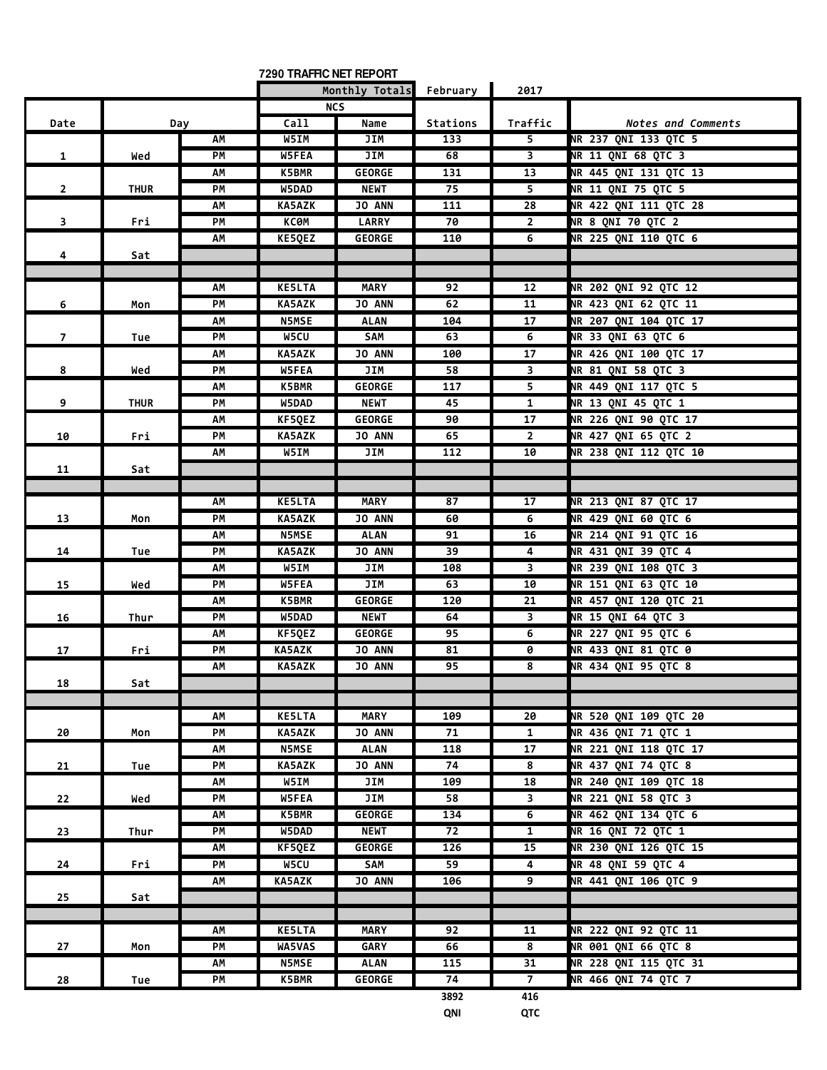| Monthly Totals<br>February<br>2017<br><b>NCS</b><br>Call<br>Name<br>Stations<br>Traffic<br>Date<br>Day<br>Notes and Comments<br>W5IM<br>NR 237 QNI 133 QTC 5<br>JIM<br>133<br>5<br>АΜ<br>$\overline{\mathbf{3}}$<br><b>NR 11 QNI 68 QTC 3</b><br>PM<br>W5FEA<br>JIM<br>68<br>$\mathbf{1}$<br>Wed<br>NR 445 QNI 131 QTC 13<br>13<br>АΜ<br>K5BMR<br><b>GEORGE</b><br>131<br>75<br>NR 11 QNI 75 QTC 5<br>W5DAD<br><b>NEWT</b><br>5<br>$\overline{2}$<br>PМ<br><b>THUR</b><br>$\overline{28}$<br>NR 422 QNI 111 QTC 28<br>AM<br><b>KA5AZK</b><br>JO ANN<br>111<br><b>NR 8 QNI 70 QTC 2</b><br>PM<br>КСӨМ<br><b>LARRY</b><br>70<br>$\overline{2}$<br>$\overline{\mathbf{3}}$<br>Fri<br>KE5QEZ<br><b>GEORGE</b><br>110<br>NR 225 QNI 110 QTC 6<br>AM<br>6<br>4<br>Sat<br><b>KE5LTA</b><br><b>MARY</b><br>92<br>12<br><b>NR 202 QNI 92 QTC 12</b><br>АΜ<br><b>KA5AZK</b><br>JO ANN<br>NR 423 QNI 62 QTC 11<br>PМ<br>62<br>11<br>6<br>Mon<br>NR 207 QNI 104 QTC 17<br><b>N5MSE</b><br><b>ALAN</b><br>104<br>17<br>AM<br>NR 33 QNI 63 QTC 6<br>W5CU<br>SAM<br>63<br>6<br>$\overline{7}$<br>PМ<br>Tue<br>17<br>NR 426 QNI 100 QTC 17<br><b>KA5AZK</b><br>JO ANN<br>AΜ<br>100<br>$\mathbf{3}$<br>NR 81 QNI 58 QTC 3<br>W5FEA<br>JIM<br>58<br>8<br>PМ<br>Wed<br>5<br>NR 449 QNI 117 QTC 5<br><b>K5BMR</b><br><b>GEORGE</b><br>117<br>АΜ<br>NR 13 QNI 45 QTC 1<br>$\mathbf{1}$<br>9<br>W5DAD<br><b>NEWT</b><br>45<br><b>THUR</b><br>PМ<br>17<br>NR 226 QNI 90 QTC 17<br><b>GEORGE</b><br>90<br>АΜ<br>KF5QEZ<br>NR 427 QNI 65 QTC 2<br>$\overline{2}$<br>PM<br><b>KA5AZK</b><br><b>JO ANN</b><br>65<br>10<br>Fri<br>112<br><b>NR 238 QNI 112 QTC 10</b><br>W5IM<br>JIM<br>10<br>АΜ<br>11<br>Sat<br><b>KE5LTA</b><br><b>MARY</b><br>87<br>17<br>NR 213 QNI 87 QTC 17<br>АΜ<br><b>NR 429 QNI 60 QTC 6</b><br>13<br>PM<br><b>KA5AZK</b><br><b>JO ANN</b><br>60<br>6<br>Mon<br><b>NR 214 QNI 91 QTC 16</b><br><b>N5MSE</b><br><b>ALAN</b><br>AΜ<br>91<br>16<br><b>KA5AZK</b><br>39<br>4<br>NR 431 QNI 39 QTC 4<br>14<br>PМ<br><b>JO ANN</b><br>Tue<br>W5IM<br>JIM<br>3<br>NR 239 QNI 108 QTC 3<br>AΜ<br>108<br><b>NR 151 QNI 63 QTC 10</b><br>PM<br>W5FEA<br>JIM<br>63<br>10<br>15<br>Wed<br>NR 457 QNI 120 QTC 21<br>K5BMR<br><b>GEORGE</b><br>120<br>21<br>AΜ<br>NR 15 QNI 64 QTC 3<br>W5DAD<br><b>NEWT</b><br>3<br>PМ<br>64<br>16<br>Thur<br>6<br>NR 227 QNI 95 QTC 6<br>KF5QEZ<br><b>GEORGE</b><br>95<br>АΜ<br>PM<br>KA5AZK<br><b>JO ANN</b><br>81<br>0<br>NR 433 QNI 81 QTC 0<br>17<br>Fri<br>NR 434 ONI 95 OTC 8<br>АΜ<br><b>KA5AZK</b><br><b>JO ANN</b><br>95<br>8<br>18<br>Sat<br><b>KE5LTA</b><br><b>MARY</b><br>NR 520 ONI 109 OTC 20<br>АΜ<br>109<br>20<br>PM<br><b>KA5AZK</b><br>JO ANN<br>71<br>$\mathbf{1}$<br>NR 436 QNI 71 QTC 1<br>20<br>Mon<br>118<br>17<br>NR 221 QNI 118 QTC 17<br>AM<br><b>N5MSE</b><br><b>ALAN</b><br>74<br>NR 437 QNI 74 QTC 8<br>PM<br><b>KA5AZK</b><br>JO ANN<br>8<br>21<br>Tue<br>NR 240 QNI 109 QTC 18<br>W5IM<br>JIM<br>109<br>18<br>AM<br>NR 221 QNI 58 QTC 3<br>W5FEA<br>JIM<br>58<br>PM<br>3<br>22<br>Wed<br><b>NR 462 QNI 134 QTC 6</b><br>K5BMR<br><b>GEORGE</b><br>134<br>6<br>АΜ<br>72<br><b>NR 16 QNI 72 QTC 1</b><br>PM<br>W5DAD<br><b>NEWT</b><br>$\overline{1}$<br>23<br>Thur<br>NR 230 QNI 126 QTC 15<br>KF5QEZ<br>GEORGE<br>126<br>15<br>АΜ<br>NR 48 QNI 59 QTC 4<br>W5CU<br>SAM<br>59<br>4<br>24<br>PМ<br>Fri<br><b>NR 441 QNI 106 QTC 9</b><br>KA5AZK<br>JO ANN<br>9<br>АМ<br>106<br>25<br>Sat<br>NR 222 QNI 92 QTC 11<br><b>KE5LTA</b><br><b>MARY</b><br>92<br>11<br>АΜ<br>8<br><b>NR 001 QNI 66 QTC 8</b><br>PM<br>WA5VAS<br><b>GARY</b><br>66<br>27<br>Mon<br>NR 228 QNI 115 QTC 31<br>115<br>31<br>АΜ<br><b>N5MSE</b><br>ALAN<br>NR 466 QNI 74 QTC 7<br>K5BMR<br><b>GEORGE</b><br>74<br>$7^{\circ}$<br>PM<br>28<br>Tue |  | 7290 TRAFFIC NET REPORT |      |     |  |
|---------------------------------------------------------------------------------------------------------------------------------------------------------------------------------------------------------------------------------------------------------------------------------------------------------------------------------------------------------------------------------------------------------------------------------------------------------------------------------------------------------------------------------------------------------------------------------------------------------------------------------------------------------------------------------------------------------------------------------------------------------------------------------------------------------------------------------------------------------------------------------------------------------------------------------------------------------------------------------------------------------------------------------------------------------------------------------------------------------------------------------------------------------------------------------------------------------------------------------------------------------------------------------------------------------------------------------------------------------------------------------------------------------------------------------------------------------------------------------------------------------------------------------------------------------------------------------------------------------------------------------------------------------------------------------------------------------------------------------------------------------------------------------------------------------------------------------------------------------------------------------------------------------------------------------------------------------------------------------------------------------------------------------------------------------------------------------------------------------------------------------------------------------------------------------------------------------------------------------------------------------------------------------------------------------------------------------------------------------------------------------------------------------------------------------------------------------------------------------------------------------------------------------------------------------------------------------------------------------------------------------------------------------------------------------------------------------------------------------------------------------------------------------------------------------------------------------------------------------------------------------------------------------------------------------------------------------------------------------------------------------------------------------------------------------------------------------------------------------------------------------------------------------------------------------------------------------------------------------------------------------------------------------------------------------------------------------------------------------------------------------------------------------------------------------------------------------------------------------------------------------------------------------------------------------------------------------------------------------------------------------------------------------------------------------------------------------------------------------------------------------------------|--|-------------------------|------|-----|--|
|                                                                                                                                                                                                                                                                                                                                                                                                                                                                                                                                                                                                                                                                                                                                                                                                                                                                                                                                                                                                                                                                                                                                                                                                                                                                                                                                                                                                                                                                                                                                                                                                                                                                                                                                                                                                                                                                                                                                                                                                                                                                                                                                                                                                                                                                                                                                                                                                                                                                                                                                                                                                                                                                                                                                                                                                                                                                                                                                                                                                                                                                                                                                                                                                                                                                                                                                                                                                                                                                                                                                                                                                                                                                                                                                                                     |  |                         |      |     |  |
|                                                                                                                                                                                                                                                                                                                                                                                                                                                                                                                                                                                                                                                                                                                                                                                                                                                                                                                                                                                                                                                                                                                                                                                                                                                                                                                                                                                                                                                                                                                                                                                                                                                                                                                                                                                                                                                                                                                                                                                                                                                                                                                                                                                                                                                                                                                                                                                                                                                                                                                                                                                                                                                                                                                                                                                                                                                                                                                                                                                                                                                                                                                                                                                                                                                                                                                                                                                                                                                                                                                                                                                                                                                                                                                                                                     |  |                         |      |     |  |
|                                                                                                                                                                                                                                                                                                                                                                                                                                                                                                                                                                                                                                                                                                                                                                                                                                                                                                                                                                                                                                                                                                                                                                                                                                                                                                                                                                                                                                                                                                                                                                                                                                                                                                                                                                                                                                                                                                                                                                                                                                                                                                                                                                                                                                                                                                                                                                                                                                                                                                                                                                                                                                                                                                                                                                                                                                                                                                                                                                                                                                                                                                                                                                                                                                                                                                                                                                                                                                                                                                                                                                                                                                                                                                                                                                     |  |                         |      |     |  |
|                                                                                                                                                                                                                                                                                                                                                                                                                                                                                                                                                                                                                                                                                                                                                                                                                                                                                                                                                                                                                                                                                                                                                                                                                                                                                                                                                                                                                                                                                                                                                                                                                                                                                                                                                                                                                                                                                                                                                                                                                                                                                                                                                                                                                                                                                                                                                                                                                                                                                                                                                                                                                                                                                                                                                                                                                                                                                                                                                                                                                                                                                                                                                                                                                                                                                                                                                                                                                                                                                                                                                                                                                                                                                                                                                                     |  |                         |      |     |  |
|                                                                                                                                                                                                                                                                                                                                                                                                                                                                                                                                                                                                                                                                                                                                                                                                                                                                                                                                                                                                                                                                                                                                                                                                                                                                                                                                                                                                                                                                                                                                                                                                                                                                                                                                                                                                                                                                                                                                                                                                                                                                                                                                                                                                                                                                                                                                                                                                                                                                                                                                                                                                                                                                                                                                                                                                                                                                                                                                                                                                                                                                                                                                                                                                                                                                                                                                                                                                                                                                                                                                                                                                                                                                                                                                                                     |  |                         |      |     |  |
|                                                                                                                                                                                                                                                                                                                                                                                                                                                                                                                                                                                                                                                                                                                                                                                                                                                                                                                                                                                                                                                                                                                                                                                                                                                                                                                                                                                                                                                                                                                                                                                                                                                                                                                                                                                                                                                                                                                                                                                                                                                                                                                                                                                                                                                                                                                                                                                                                                                                                                                                                                                                                                                                                                                                                                                                                                                                                                                                                                                                                                                                                                                                                                                                                                                                                                                                                                                                                                                                                                                                                                                                                                                                                                                                                                     |  |                         |      |     |  |
|                                                                                                                                                                                                                                                                                                                                                                                                                                                                                                                                                                                                                                                                                                                                                                                                                                                                                                                                                                                                                                                                                                                                                                                                                                                                                                                                                                                                                                                                                                                                                                                                                                                                                                                                                                                                                                                                                                                                                                                                                                                                                                                                                                                                                                                                                                                                                                                                                                                                                                                                                                                                                                                                                                                                                                                                                                                                                                                                                                                                                                                                                                                                                                                                                                                                                                                                                                                                                                                                                                                                                                                                                                                                                                                                                                     |  |                         |      |     |  |
|                                                                                                                                                                                                                                                                                                                                                                                                                                                                                                                                                                                                                                                                                                                                                                                                                                                                                                                                                                                                                                                                                                                                                                                                                                                                                                                                                                                                                                                                                                                                                                                                                                                                                                                                                                                                                                                                                                                                                                                                                                                                                                                                                                                                                                                                                                                                                                                                                                                                                                                                                                                                                                                                                                                                                                                                                                                                                                                                                                                                                                                                                                                                                                                                                                                                                                                                                                                                                                                                                                                                                                                                                                                                                                                                                                     |  |                         |      |     |  |
|                                                                                                                                                                                                                                                                                                                                                                                                                                                                                                                                                                                                                                                                                                                                                                                                                                                                                                                                                                                                                                                                                                                                                                                                                                                                                                                                                                                                                                                                                                                                                                                                                                                                                                                                                                                                                                                                                                                                                                                                                                                                                                                                                                                                                                                                                                                                                                                                                                                                                                                                                                                                                                                                                                                                                                                                                                                                                                                                                                                                                                                                                                                                                                                                                                                                                                                                                                                                                                                                                                                                                                                                                                                                                                                                                                     |  |                         |      |     |  |
|                                                                                                                                                                                                                                                                                                                                                                                                                                                                                                                                                                                                                                                                                                                                                                                                                                                                                                                                                                                                                                                                                                                                                                                                                                                                                                                                                                                                                                                                                                                                                                                                                                                                                                                                                                                                                                                                                                                                                                                                                                                                                                                                                                                                                                                                                                                                                                                                                                                                                                                                                                                                                                                                                                                                                                                                                                                                                                                                                                                                                                                                                                                                                                                                                                                                                                                                                                                                                                                                                                                                                                                                                                                                                                                                                                     |  |                         |      |     |  |
|                                                                                                                                                                                                                                                                                                                                                                                                                                                                                                                                                                                                                                                                                                                                                                                                                                                                                                                                                                                                                                                                                                                                                                                                                                                                                                                                                                                                                                                                                                                                                                                                                                                                                                                                                                                                                                                                                                                                                                                                                                                                                                                                                                                                                                                                                                                                                                                                                                                                                                                                                                                                                                                                                                                                                                                                                                                                                                                                                                                                                                                                                                                                                                                                                                                                                                                                                                                                                                                                                                                                                                                                                                                                                                                                                                     |  |                         |      |     |  |
|                                                                                                                                                                                                                                                                                                                                                                                                                                                                                                                                                                                                                                                                                                                                                                                                                                                                                                                                                                                                                                                                                                                                                                                                                                                                                                                                                                                                                                                                                                                                                                                                                                                                                                                                                                                                                                                                                                                                                                                                                                                                                                                                                                                                                                                                                                                                                                                                                                                                                                                                                                                                                                                                                                                                                                                                                                                                                                                                                                                                                                                                                                                                                                                                                                                                                                                                                                                                                                                                                                                                                                                                                                                                                                                                                                     |  |                         |      |     |  |
|                                                                                                                                                                                                                                                                                                                                                                                                                                                                                                                                                                                                                                                                                                                                                                                                                                                                                                                                                                                                                                                                                                                                                                                                                                                                                                                                                                                                                                                                                                                                                                                                                                                                                                                                                                                                                                                                                                                                                                                                                                                                                                                                                                                                                                                                                                                                                                                                                                                                                                                                                                                                                                                                                                                                                                                                                                                                                                                                                                                                                                                                                                                                                                                                                                                                                                                                                                                                                                                                                                                                                                                                                                                                                                                                                                     |  |                         |      |     |  |
|                                                                                                                                                                                                                                                                                                                                                                                                                                                                                                                                                                                                                                                                                                                                                                                                                                                                                                                                                                                                                                                                                                                                                                                                                                                                                                                                                                                                                                                                                                                                                                                                                                                                                                                                                                                                                                                                                                                                                                                                                                                                                                                                                                                                                                                                                                                                                                                                                                                                                                                                                                                                                                                                                                                                                                                                                                                                                                                                                                                                                                                                                                                                                                                                                                                                                                                                                                                                                                                                                                                                                                                                                                                                                                                                                                     |  |                         |      |     |  |
|                                                                                                                                                                                                                                                                                                                                                                                                                                                                                                                                                                                                                                                                                                                                                                                                                                                                                                                                                                                                                                                                                                                                                                                                                                                                                                                                                                                                                                                                                                                                                                                                                                                                                                                                                                                                                                                                                                                                                                                                                                                                                                                                                                                                                                                                                                                                                                                                                                                                                                                                                                                                                                                                                                                                                                                                                                                                                                                                                                                                                                                                                                                                                                                                                                                                                                                                                                                                                                                                                                                                                                                                                                                                                                                                                                     |  |                         |      |     |  |
|                                                                                                                                                                                                                                                                                                                                                                                                                                                                                                                                                                                                                                                                                                                                                                                                                                                                                                                                                                                                                                                                                                                                                                                                                                                                                                                                                                                                                                                                                                                                                                                                                                                                                                                                                                                                                                                                                                                                                                                                                                                                                                                                                                                                                                                                                                                                                                                                                                                                                                                                                                                                                                                                                                                                                                                                                                                                                                                                                                                                                                                                                                                                                                                                                                                                                                                                                                                                                                                                                                                                                                                                                                                                                                                                                                     |  |                         |      |     |  |
|                                                                                                                                                                                                                                                                                                                                                                                                                                                                                                                                                                                                                                                                                                                                                                                                                                                                                                                                                                                                                                                                                                                                                                                                                                                                                                                                                                                                                                                                                                                                                                                                                                                                                                                                                                                                                                                                                                                                                                                                                                                                                                                                                                                                                                                                                                                                                                                                                                                                                                                                                                                                                                                                                                                                                                                                                                                                                                                                                                                                                                                                                                                                                                                                                                                                                                                                                                                                                                                                                                                                                                                                                                                                                                                                                                     |  |                         |      |     |  |
|                                                                                                                                                                                                                                                                                                                                                                                                                                                                                                                                                                                                                                                                                                                                                                                                                                                                                                                                                                                                                                                                                                                                                                                                                                                                                                                                                                                                                                                                                                                                                                                                                                                                                                                                                                                                                                                                                                                                                                                                                                                                                                                                                                                                                                                                                                                                                                                                                                                                                                                                                                                                                                                                                                                                                                                                                                                                                                                                                                                                                                                                                                                                                                                                                                                                                                                                                                                                                                                                                                                                                                                                                                                                                                                                                                     |  |                         |      |     |  |
|                                                                                                                                                                                                                                                                                                                                                                                                                                                                                                                                                                                                                                                                                                                                                                                                                                                                                                                                                                                                                                                                                                                                                                                                                                                                                                                                                                                                                                                                                                                                                                                                                                                                                                                                                                                                                                                                                                                                                                                                                                                                                                                                                                                                                                                                                                                                                                                                                                                                                                                                                                                                                                                                                                                                                                                                                                                                                                                                                                                                                                                                                                                                                                                                                                                                                                                                                                                                                                                                                                                                                                                                                                                                                                                                                                     |  |                         |      |     |  |
|                                                                                                                                                                                                                                                                                                                                                                                                                                                                                                                                                                                                                                                                                                                                                                                                                                                                                                                                                                                                                                                                                                                                                                                                                                                                                                                                                                                                                                                                                                                                                                                                                                                                                                                                                                                                                                                                                                                                                                                                                                                                                                                                                                                                                                                                                                                                                                                                                                                                                                                                                                                                                                                                                                                                                                                                                                                                                                                                                                                                                                                                                                                                                                                                                                                                                                                                                                                                                                                                                                                                                                                                                                                                                                                                                                     |  |                         |      |     |  |
|                                                                                                                                                                                                                                                                                                                                                                                                                                                                                                                                                                                                                                                                                                                                                                                                                                                                                                                                                                                                                                                                                                                                                                                                                                                                                                                                                                                                                                                                                                                                                                                                                                                                                                                                                                                                                                                                                                                                                                                                                                                                                                                                                                                                                                                                                                                                                                                                                                                                                                                                                                                                                                                                                                                                                                                                                                                                                                                                                                                                                                                                                                                                                                                                                                                                                                                                                                                                                                                                                                                                                                                                                                                                                                                                                                     |  |                         |      |     |  |
|                                                                                                                                                                                                                                                                                                                                                                                                                                                                                                                                                                                                                                                                                                                                                                                                                                                                                                                                                                                                                                                                                                                                                                                                                                                                                                                                                                                                                                                                                                                                                                                                                                                                                                                                                                                                                                                                                                                                                                                                                                                                                                                                                                                                                                                                                                                                                                                                                                                                                                                                                                                                                                                                                                                                                                                                                                                                                                                                                                                                                                                                                                                                                                                                                                                                                                                                                                                                                                                                                                                                                                                                                                                                                                                                                                     |  |                         |      |     |  |
|                                                                                                                                                                                                                                                                                                                                                                                                                                                                                                                                                                                                                                                                                                                                                                                                                                                                                                                                                                                                                                                                                                                                                                                                                                                                                                                                                                                                                                                                                                                                                                                                                                                                                                                                                                                                                                                                                                                                                                                                                                                                                                                                                                                                                                                                                                                                                                                                                                                                                                                                                                                                                                                                                                                                                                                                                                                                                                                                                                                                                                                                                                                                                                                                                                                                                                                                                                                                                                                                                                                                                                                                                                                                                                                                                                     |  |                         |      |     |  |
|                                                                                                                                                                                                                                                                                                                                                                                                                                                                                                                                                                                                                                                                                                                                                                                                                                                                                                                                                                                                                                                                                                                                                                                                                                                                                                                                                                                                                                                                                                                                                                                                                                                                                                                                                                                                                                                                                                                                                                                                                                                                                                                                                                                                                                                                                                                                                                                                                                                                                                                                                                                                                                                                                                                                                                                                                                                                                                                                                                                                                                                                                                                                                                                                                                                                                                                                                                                                                                                                                                                                                                                                                                                                                                                                                                     |  |                         |      |     |  |
|                                                                                                                                                                                                                                                                                                                                                                                                                                                                                                                                                                                                                                                                                                                                                                                                                                                                                                                                                                                                                                                                                                                                                                                                                                                                                                                                                                                                                                                                                                                                                                                                                                                                                                                                                                                                                                                                                                                                                                                                                                                                                                                                                                                                                                                                                                                                                                                                                                                                                                                                                                                                                                                                                                                                                                                                                                                                                                                                                                                                                                                                                                                                                                                                                                                                                                                                                                                                                                                                                                                                                                                                                                                                                                                                                                     |  |                         |      |     |  |
|                                                                                                                                                                                                                                                                                                                                                                                                                                                                                                                                                                                                                                                                                                                                                                                                                                                                                                                                                                                                                                                                                                                                                                                                                                                                                                                                                                                                                                                                                                                                                                                                                                                                                                                                                                                                                                                                                                                                                                                                                                                                                                                                                                                                                                                                                                                                                                                                                                                                                                                                                                                                                                                                                                                                                                                                                                                                                                                                                                                                                                                                                                                                                                                                                                                                                                                                                                                                                                                                                                                                                                                                                                                                                                                                                                     |  |                         |      |     |  |
|                                                                                                                                                                                                                                                                                                                                                                                                                                                                                                                                                                                                                                                                                                                                                                                                                                                                                                                                                                                                                                                                                                                                                                                                                                                                                                                                                                                                                                                                                                                                                                                                                                                                                                                                                                                                                                                                                                                                                                                                                                                                                                                                                                                                                                                                                                                                                                                                                                                                                                                                                                                                                                                                                                                                                                                                                                                                                                                                                                                                                                                                                                                                                                                                                                                                                                                                                                                                                                                                                                                                                                                                                                                                                                                                                                     |  |                         |      |     |  |
|                                                                                                                                                                                                                                                                                                                                                                                                                                                                                                                                                                                                                                                                                                                                                                                                                                                                                                                                                                                                                                                                                                                                                                                                                                                                                                                                                                                                                                                                                                                                                                                                                                                                                                                                                                                                                                                                                                                                                                                                                                                                                                                                                                                                                                                                                                                                                                                                                                                                                                                                                                                                                                                                                                                                                                                                                                                                                                                                                                                                                                                                                                                                                                                                                                                                                                                                                                                                                                                                                                                                                                                                                                                                                                                                                                     |  |                         |      |     |  |
|                                                                                                                                                                                                                                                                                                                                                                                                                                                                                                                                                                                                                                                                                                                                                                                                                                                                                                                                                                                                                                                                                                                                                                                                                                                                                                                                                                                                                                                                                                                                                                                                                                                                                                                                                                                                                                                                                                                                                                                                                                                                                                                                                                                                                                                                                                                                                                                                                                                                                                                                                                                                                                                                                                                                                                                                                                                                                                                                                                                                                                                                                                                                                                                                                                                                                                                                                                                                                                                                                                                                                                                                                                                                                                                                                                     |  |                         |      |     |  |
|                                                                                                                                                                                                                                                                                                                                                                                                                                                                                                                                                                                                                                                                                                                                                                                                                                                                                                                                                                                                                                                                                                                                                                                                                                                                                                                                                                                                                                                                                                                                                                                                                                                                                                                                                                                                                                                                                                                                                                                                                                                                                                                                                                                                                                                                                                                                                                                                                                                                                                                                                                                                                                                                                                                                                                                                                                                                                                                                                                                                                                                                                                                                                                                                                                                                                                                                                                                                                                                                                                                                                                                                                                                                                                                                                                     |  |                         |      |     |  |
|                                                                                                                                                                                                                                                                                                                                                                                                                                                                                                                                                                                                                                                                                                                                                                                                                                                                                                                                                                                                                                                                                                                                                                                                                                                                                                                                                                                                                                                                                                                                                                                                                                                                                                                                                                                                                                                                                                                                                                                                                                                                                                                                                                                                                                                                                                                                                                                                                                                                                                                                                                                                                                                                                                                                                                                                                                                                                                                                                                                                                                                                                                                                                                                                                                                                                                                                                                                                                                                                                                                                                                                                                                                                                                                                                                     |  |                         |      |     |  |
|                                                                                                                                                                                                                                                                                                                                                                                                                                                                                                                                                                                                                                                                                                                                                                                                                                                                                                                                                                                                                                                                                                                                                                                                                                                                                                                                                                                                                                                                                                                                                                                                                                                                                                                                                                                                                                                                                                                                                                                                                                                                                                                                                                                                                                                                                                                                                                                                                                                                                                                                                                                                                                                                                                                                                                                                                                                                                                                                                                                                                                                                                                                                                                                                                                                                                                                                                                                                                                                                                                                                                                                                                                                                                                                                                                     |  |                         |      |     |  |
|                                                                                                                                                                                                                                                                                                                                                                                                                                                                                                                                                                                                                                                                                                                                                                                                                                                                                                                                                                                                                                                                                                                                                                                                                                                                                                                                                                                                                                                                                                                                                                                                                                                                                                                                                                                                                                                                                                                                                                                                                                                                                                                                                                                                                                                                                                                                                                                                                                                                                                                                                                                                                                                                                                                                                                                                                                                                                                                                                                                                                                                                                                                                                                                                                                                                                                                                                                                                                                                                                                                                                                                                                                                                                                                                                                     |  |                         |      |     |  |
|                                                                                                                                                                                                                                                                                                                                                                                                                                                                                                                                                                                                                                                                                                                                                                                                                                                                                                                                                                                                                                                                                                                                                                                                                                                                                                                                                                                                                                                                                                                                                                                                                                                                                                                                                                                                                                                                                                                                                                                                                                                                                                                                                                                                                                                                                                                                                                                                                                                                                                                                                                                                                                                                                                                                                                                                                                                                                                                                                                                                                                                                                                                                                                                                                                                                                                                                                                                                                                                                                                                                                                                                                                                                                                                                                                     |  |                         |      |     |  |
|                                                                                                                                                                                                                                                                                                                                                                                                                                                                                                                                                                                                                                                                                                                                                                                                                                                                                                                                                                                                                                                                                                                                                                                                                                                                                                                                                                                                                                                                                                                                                                                                                                                                                                                                                                                                                                                                                                                                                                                                                                                                                                                                                                                                                                                                                                                                                                                                                                                                                                                                                                                                                                                                                                                                                                                                                                                                                                                                                                                                                                                                                                                                                                                                                                                                                                                                                                                                                                                                                                                                                                                                                                                                                                                                                                     |  |                         |      |     |  |
|                                                                                                                                                                                                                                                                                                                                                                                                                                                                                                                                                                                                                                                                                                                                                                                                                                                                                                                                                                                                                                                                                                                                                                                                                                                                                                                                                                                                                                                                                                                                                                                                                                                                                                                                                                                                                                                                                                                                                                                                                                                                                                                                                                                                                                                                                                                                                                                                                                                                                                                                                                                                                                                                                                                                                                                                                                                                                                                                                                                                                                                                                                                                                                                                                                                                                                                                                                                                                                                                                                                                                                                                                                                                                                                                                                     |  |                         |      |     |  |
|                                                                                                                                                                                                                                                                                                                                                                                                                                                                                                                                                                                                                                                                                                                                                                                                                                                                                                                                                                                                                                                                                                                                                                                                                                                                                                                                                                                                                                                                                                                                                                                                                                                                                                                                                                                                                                                                                                                                                                                                                                                                                                                                                                                                                                                                                                                                                                                                                                                                                                                                                                                                                                                                                                                                                                                                                                                                                                                                                                                                                                                                                                                                                                                                                                                                                                                                                                                                                                                                                                                                                                                                                                                                                                                                                                     |  |                         |      |     |  |
|                                                                                                                                                                                                                                                                                                                                                                                                                                                                                                                                                                                                                                                                                                                                                                                                                                                                                                                                                                                                                                                                                                                                                                                                                                                                                                                                                                                                                                                                                                                                                                                                                                                                                                                                                                                                                                                                                                                                                                                                                                                                                                                                                                                                                                                                                                                                                                                                                                                                                                                                                                                                                                                                                                                                                                                                                                                                                                                                                                                                                                                                                                                                                                                                                                                                                                                                                                                                                                                                                                                                                                                                                                                                                                                                                                     |  |                         |      |     |  |
|                                                                                                                                                                                                                                                                                                                                                                                                                                                                                                                                                                                                                                                                                                                                                                                                                                                                                                                                                                                                                                                                                                                                                                                                                                                                                                                                                                                                                                                                                                                                                                                                                                                                                                                                                                                                                                                                                                                                                                                                                                                                                                                                                                                                                                                                                                                                                                                                                                                                                                                                                                                                                                                                                                                                                                                                                                                                                                                                                                                                                                                                                                                                                                                                                                                                                                                                                                                                                                                                                                                                                                                                                                                                                                                                                                     |  |                         |      |     |  |
|                                                                                                                                                                                                                                                                                                                                                                                                                                                                                                                                                                                                                                                                                                                                                                                                                                                                                                                                                                                                                                                                                                                                                                                                                                                                                                                                                                                                                                                                                                                                                                                                                                                                                                                                                                                                                                                                                                                                                                                                                                                                                                                                                                                                                                                                                                                                                                                                                                                                                                                                                                                                                                                                                                                                                                                                                                                                                                                                                                                                                                                                                                                                                                                                                                                                                                                                                                                                                                                                                                                                                                                                                                                                                                                                                                     |  |                         |      |     |  |
|                                                                                                                                                                                                                                                                                                                                                                                                                                                                                                                                                                                                                                                                                                                                                                                                                                                                                                                                                                                                                                                                                                                                                                                                                                                                                                                                                                                                                                                                                                                                                                                                                                                                                                                                                                                                                                                                                                                                                                                                                                                                                                                                                                                                                                                                                                                                                                                                                                                                                                                                                                                                                                                                                                                                                                                                                                                                                                                                                                                                                                                                                                                                                                                                                                                                                                                                                                                                                                                                                                                                                                                                                                                                                                                                                                     |  |                         |      |     |  |
|                                                                                                                                                                                                                                                                                                                                                                                                                                                                                                                                                                                                                                                                                                                                                                                                                                                                                                                                                                                                                                                                                                                                                                                                                                                                                                                                                                                                                                                                                                                                                                                                                                                                                                                                                                                                                                                                                                                                                                                                                                                                                                                                                                                                                                                                                                                                                                                                                                                                                                                                                                                                                                                                                                                                                                                                                                                                                                                                                                                                                                                                                                                                                                                                                                                                                                                                                                                                                                                                                                                                                                                                                                                                                                                                                                     |  |                         |      |     |  |
|                                                                                                                                                                                                                                                                                                                                                                                                                                                                                                                                                                                                                                                                                                                                                                                                                                                                                                                                                                                                                                                                                                                                                                                                                                                                                                                                                                                                                                                                                                                                                                                                                                                                                                                                                                                                                                                                                                                                                                                                                                                                                                                                                                                                                                                                                                                                                                                                                                                                                                                                                                                                                                                                                                                                                                                                                                                                                                                                                                                                                                                                                                                                                                                                                                                                                                                                                                                                                                                                                                                                                                                                                                                                                                                                                                     |  |                         |      |     |  |
|                                                                                                                                                                                                                                                                                                                                                                                                                                                                                                                                                                                                                                                                                                                                                                                                                                                                                                                                                                                                                                                                                                                                                                                                                                                                                                                                                                                                                                                                                                                                                                                                                                                                                                                                                                                                                                                                                                                                                                                                                                                                                                                                                                                                                                                                                                                                                                                                                                                                                                                                                                                                                                                                                                                                                                                                                                                                                                                                                                                                                                                                                                                                                                                                                                                                                                                                                                                                                                                                                                                                                                                                                                                                                                                                                                     |  |                         |      |     |  |
|                                                                                                                                                                                                                                                                                                                                                                                                                                                                                                                                                                                                                                                                                                                                                                                                                                                                                                                                                                                                                                                                                                                                                                                                                                                                                                                                                                                                                                                                                                                                                                                                                                                                                                                                                                                                                                                                                                                                                                                                                                                                                                                                                                                                                                                                                                                                                                                                                                                                                                                                                                                                                                                                                                                                                                                                                                                                                                                                                                                                                                                                                                                                                                                                                                                                                                                                                                                                                                                                                                                                                                                                                                                                                                                                                                     |  |                         |      |     |  |
|                                                                                                                                                                                                                                                                                                                                                                                                                                                                                                                                                                                                                                                                                                                                                                                                                                                                                                                                                                                                                                                                                                                                                                                                                                                                                                                                                                                                                                                                                                                                                                                                                                                                                                                                                                                                                                                                                                                                                                                                                                                                                                                                                                                                                                                                                                                                                                                                                                                                                                                                                                                                                                                                                                                                                                                                                                                                                                                                                                                                                                                                                                                                                                                                                                                                                                                                                                                                                                                                                                                                                                                                                                                                                                                                                                     |  |                         |      |     |  |
|                                                                                                                                                                                                                                                                                                                                                                                                                                                                                                                                                                                                                                                                                                                                                                                                                                                                                                                                                                                                                                                                                                                                                                                                                                                                                                                                                                                                                                                                                                                                                                                                                                                                                                                                                                                                                                                                                                                                                                                                                                                                                                                                                                                                                                                                                                                                                                                                                                                                                                                                                                                                                                                                                                                                                                                                                                                                                                                                                                                                                                                                                                                                                                                                                                                                                                                                                                                                                                                                                                                                                                                                                                                                                                                                                                     |  |                         |      |     |  |
|                                                                                                                                                                                                                                                                                                                                                                                                                                                                                                                                                                                                                                                                                                                                                                                                                                                                                                                                                                                                                                                                                                                                                                                                                                                                                                                                                                                                                                                                                                                                                                                                                                                                                                                                                                                                                                                                                                                                                                                                                                                                                                                                                                                                                                                                                                                                                                                                                                                                                                                                                                                                                                                                                                                                                                                                                                                                                                                                                                                                                                                                                                                                                                                                                                                                                                                                                                                                                                                                                                                                                                                                                                                                                                                                                                     |  |                         |      |     |  |
|                                                                                                                                                                                                                                                                                                                                                                                                                                                                                                                                                                                                                                                                                                                                                                                                                                                                                                                                                                                                                                                                                                                                                                                                                                                                                                                                                                                                                                                                                                                                                                                                                                                                                                                                                                                                                                                                                                                                                                                                                                                                                                                                                                                                                                                                                                                                                                                                                                                                                                                                                                                                                                                                                                                                                                                                                                                                                                                                                                                                                                                                                                                                                                                                                                                                                                                                                                                                                                                                                                                                                                                                                                                                                                                                                                     |  |                         |      |     |  |
|                                                                                                                                                                                                                                                                                                                                                                                                                                                                                                                                                                                                                                                                                                                                                                                                                                                                                                                                                                                                                                                                                                                                                                                                                                                                                                                                                                                                                                                                                                                                                                                                                                                                                                                                                                                                                                                                                                                                                                                                                                                                                                                                                                                                                                                                                                                                                                                                                                                                                                                                                                                                                                                                                                                                                                                                                                                                                                                                                                                                                                                                                                                                                                                                                                                                                                                                                                                                                                                                                                                                                                                                                                                                                                                                                                     |  |                         |      |     |  |
|                                                                                                                                                                                                                                                                                                                                                                                                                                                                                                                                                                                                                                                                                                                                                                                                                                                                                                                                                                                                                                                                                                                                                                                                                                                                                                                                                                                                                                                                                                                                                                                                                                                                                                                                                                                                                                                                                                                                                                                                                                                                                                                                                                                                                                                                                                                                                                                                                                                                                                                                                                                                                                                                                                                                                                                                                                                                                                                                                                                                                                                                                                                                                                                                                                                                                                                                                                                                                                                                                                                                                                                                                                                                                                                                                                     |  |                         |      |     |  |
|                                                                                                                                                                                                                                                                                                                                                                                                                                                                                                                                                                                                                                                                                                                                                                                                                                                                                                                                                                                                                                                                                                                                                                                                                                                                                                                                                                                                                                                                                                                                                                                                                                                                                                                                                                                                                                                                                                                                                                                                                                                                                                                                                                                                                                                                                                                                                                                                                                                                                                                                                                                                                                                                                                                                                                                                                                                                                                                                                                                                                                                                                                                                                                                                                                                                                                                                                                                                                                                                                                                                                                                                                                                                                                                                                                     |  |                         |      |     |  |
|                                                                                                                                                                                                                                                                                                                                                                                                                                                                                                                                                                                                                                                                                                                                                                                                                                                                                                                                                                                                                                                                                                                                                                                                                                                                                                                                                                                                                                                                                                                                                                                                                                                                                                                                                                                                                                                                                                                                                                                                                                                                                                                                                                                                                                                                                                                                                                                                                                                                                                                                                                                                                                                                                                                                                                                                                                                                                                                                                                                                                                                                                                                                                                                                                                                                                                                                                                                                                                                                                                                                                                                                                                                                                                                                                                     |  |                         |      |     |  |
|                                                                                                                                                                                                                                                                                                                                                                                                                                                                                                                                                                                                                                                                                                                                                                                                                                                                                                                                                                                                                                                                                                                                                                                                                                                                                                                                                                                                                                                                                                                                                                                                                                                                                                                                                                                                                                                                                                                                                                                                                                                                                                                                                                                                                                                                                                                                                                                                                                                                                                                                                                                                                                                                                                                                                                                                                                                                                                                                                                                                                                                                                                                                                                                                                                                                                                                                                                                                                                                                                                                                                                                                                                                                                                                                                                     |  |                         |      |     |  |
|                                                                                                                                                                                                                                                                                                                                                                                                                                                                                                                                                                                                                                                                                                                                                                                                                                                                                                                                                                                                                                                                                                                                                                                                                                                                                                                                                                                                                                                                                                                                                                                                                                                                                                                                                                                                                                                                                                                                                                                                                                                                                                                                                                                                                                                                                                                                                                                                                                                                                                                                                                                                                                                                                                                                                                                                                                                                                                                                                                                                                                                                                                                                                                                                                                                                                                                                                                                                                                                                                                                                                                                                                                                                                                                                                                     |  |                         | 3892 | 416 |  |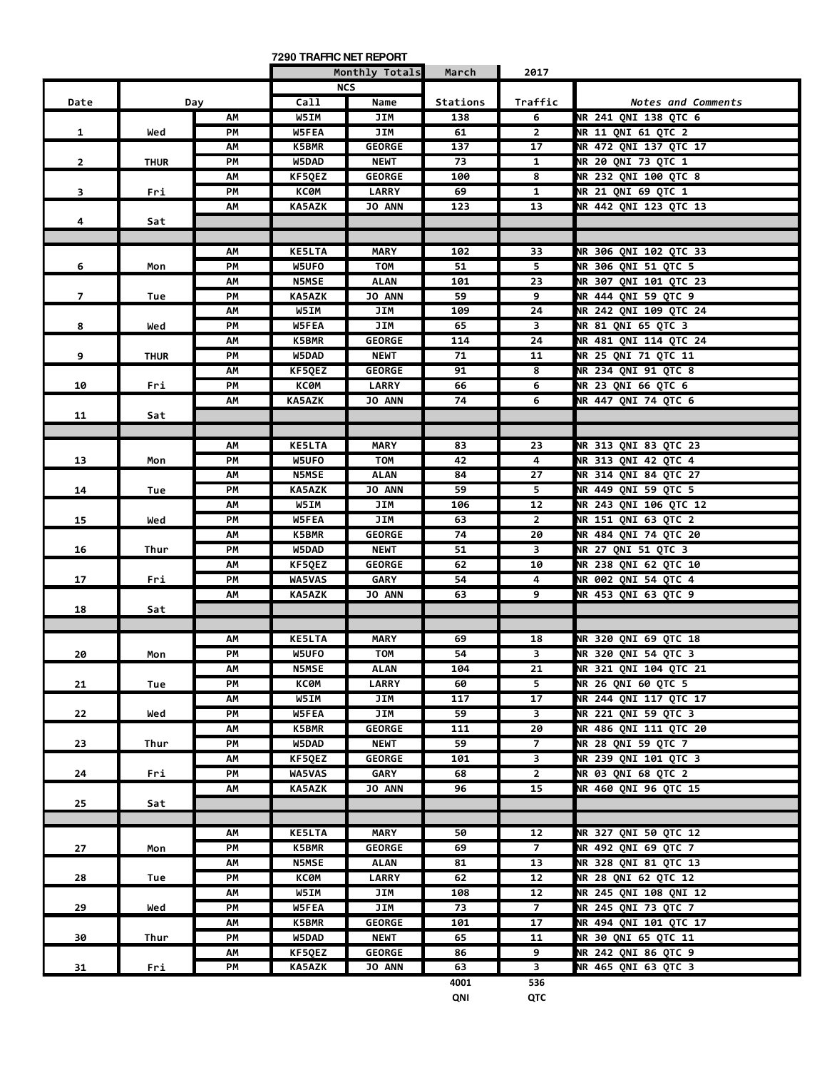|                         |             |     | 7290 TRAFFIC NET REPORT |                |            |                                |                           |
|-------------------------|-------------|-----|-------------------------|----------------|------------|--------------------------------|---------------------------|
|                         |             |     |                         | Monthly Totals | March      | 2017                           |                           |
|                         |             |     |                         | <b>NCS</b>     |            |                                |                           |
| Date                    |             | Day | Call                    | Name           | Stations   | Traffic                        | Notes and Comments        |
|                         |             | AM  | W5IM                    | JIM            | 138        | 6                              | NR 241 QNI 138 QTC 6      |
| $\mathbf{1}$            | Wed         | PM  | W5FEA                   | JIM            | 61         | $\overline{2}$                 | NR 11 QNI 61 QTC 2        |
|                         |             | ΑМ  | K5BMR                   | GEORGE         | 137        | 17                             | NR 472 QNI 137 QTC 17     |
| $\mathbf{2}$            | <b>THUR</b> | PM  | W5DAD                   | <b>NEWT</b>    | 73         | 1                              | NR 20 QNI 73 QTC 1        |
|                         |             | AM  | <b>KF5QEZ</b>           | <b>GEORGE</b>  | 100        | 8                              | NR 232 QNI 100 QTC 8      |
| $\overline{\mathbf{3}}$ | Fri         | PM  | <b>KC0M</b>             | <b>LARRY</b>   | 69         | $\mathbf{1}$                   | NR 21 QNI 69 QTC 1        |
|                         |             | AM  | <b>KA5AZK</b>           | <b>JO ANN</b>  | 123        | 13                             | NR 442 QNI 123 QTC 13     |
| 4                       | Sat         |     |                         |                |            |                                |                           |
|                         |             |     |                         |                |            |                                |                           |
|                         |             | АΜ  | <b>KE5LTA</b>           | <b>MARY</b>    | 102        | 33                             | NR 306 QNI 102 QTC 33     |
| 6                       | Mon         | PM  | W5UFO                   | <b>TOM</b>     | 51         | 5                              | NR 306 QNI 51 QTC 5       |
|                         |             | AM  | <b>N5MSE</b>            | <b>ALAN</b>    | 101        | 23                             | NR 307 QNI 101 QTC 23     |
| $\overline{7}$          | Tue         | PM  | KA5AZK                  | <b>JO ANN</b>  | 59         | 9                              | NR 444 QNI 59 QTC 9       |
|                         |             | AM  | W5IM                    | JIM            | 109        | 24                             | NR 242 QNI 109 QTC 24     |
| 8                       | Wed         | PМ  | W5FEA                   | JIM            | 65         | 3                              | NR 81 QNI 65 QTC 3        |
|                         |             | ΑМ  | K5BMR                   | <b>GEORGE</b>  | 114        | 24                             | NR 481 QNI 114 QTC 24     |
| 9                       | <b>THUR</b> | PM  | W5DAD                   | <b>NEWT</b>    | 71         | 11                             | NR 25 QNI 71 QTC 11       |
|                         |             | AM  | KF5QEZ                  | <b>GEORGE</b>  | 91         | 8                              | NR 234 QNI 91 QTC 8       |
| 10                      | Fri         | PM  | КСӨМ                    | <b>LARRY</b>   | 66         | 6                              | NR 23 QNI 66 QTC 6        |
|                         |             | АM  | <b>KA5AZK</b>           | <b>JO ANN</b>  | 74         | 6                              | NR 447 QNI 74 QTC 6       |
| 11                      | Sat         |     |                         |                |            |                                |                           |
|                         |             |     |                         |                |            |                                |                           |
|                         |             | АΜ  | <b>KE5LTA</b>           | <b>MARY</b>    | 83         | 23                             | NR 313 QNI 83 QTC 23      |
| 13                      | Mon         | PM  | W5UFO                   | <b>TOM</b>     | 42         | 4                              | NR 313 QNI 42 QTC 4       |
|                         |             | АΜ  | <b>N5MSE</b>            | <b>ALAN</b>    | 84         | 27                             | NR 314 QNI 84 QTC 27      |
| 14                      | Tue         | PM  | KA5AZK                  | <b>JO ANN</b>  | 59         | 5                              | NR 449 QNI 59 QTC 5       |
|                         |             | AM  | W5IM                    | JIM            | 106        | 12                             | NR 243 QNI 106 QTC 12     |
| 15                      | Wed         | PМ  | <b>W5FEA</b>            | JIM            | 63         | 2                              | NR 151 QNI 63 QTC 2       |
|                         |             | АΜ  | K5BMR                   | <b>GEORGE</b>  | 74         | 20                             | NR 484 QNI 74 QTC 20      |
| 16                      | Thur        | PM  | W5DAD                   | <b>NEWT</b>    | 51         | 3                              | NR 27 QNI 51 QTC 3        |
|                         |             | АΜ  | KF5QEZ                  | <b>GEORGE</b>  | 62         | 10                             | NR 238 QNI 62 QTC 10      |
| 17                      | Fri         | PM  | WA5VAS                  | <b>GARY</b>    | 54         | 4                              | NR 002 QNI 54 QTC 4       |
|                         |             | AM  | KA5AZK                  | <b>JO ANN</b>  | 63         | 9                              | NR 453 QNI 63 QTC 9       |
| 18                      | Sat         |     |                         |                |            |                                |                           |
|                         |             |     |                         |                |            |                                |                           |
|                         |             | АΜ  | <b>KE5LTA</b>           | <b>MARY</b>    | 69         | 18                             | NR 320 QNI 69 QTC 18      |
| 20                      | Mon         | PM  | W5UFO                   | <b>TOM</b>     | 54         | $\mathbf{R}$                   | NR 320 QNI 54 QTC 3       |
|                         |             | АΜ  | <b>N5MSE</b>            | ALAN           | 104        | 21                             | NR 321 QNI 104 QTC 21     |
| 21                      | Tue         | PM  | КСӨМ                    | <b>LARRY</b>   | 60         | 5 <sub>1</sub>                 | NR 26 QNI 60 QTC 5        |
|                         |             | АΜ  | W5IM                    | JIM            | 117        | 17                             | NR 244 QNI 117 QTC 17     |
| 22                      | Wed         | РM  | <b>W5FEA</b>            | JIM            | 59         | 3                              | NR 221 QNI 59 QTC 3       |
|                         |             | AM  | K5BMR                   | <b>GEORGE</b>  | 111        | 20                             | NR 486 QNI 111 QTC 20     |
| 23                      | Thur        | PM  | W5DAD                   | <b>NEWT</b>    | 59         | $\overline{7}$                 | NR 28 QNI 59 QTC 7        |
|                         |             | АΜ  | KF5QEZ                  | <b>GEORGE</b>  | 101        | 3                              | NR 239 QNI 101 QTC 3      |
| 24                      | Fri         | PM  | <b>WA5VAS</b>           | GARY           | 68         | $\overline{2}$                 | <b>NR 03 QNI 68 QTC 2</b> |
|                         |             | AM  | KA5AZK                  | <b>JO ANN</b>  | 96         | 15                             | NR 460 ONI 96 OTC 15      |
| 25                      | Sat         |     |                         |                |            |                                |                           |
|                         |             |     |                         |                |            |                                |                           |
|                         |             | AM  | <b>KE5LTA</b>           | MARY           | 50         | 12                             | NR 327 QNI 50 QTC 12      |
| 27                      | Mon         | РM  | K5BMR                   | <b>GEORGE</b>  | 69         | $\overline{7}$                 | NR 492 QNI 69 QTC 7       |
|                         |             | АΜ  | <b>N5MSE</b>            | ALAN           | 81         | 13                             | NR 328 QNI 81 QTC 13      |
| 28                      | Tue         | PM  | КСӨМ                    | <b>LARRY</b>   | 62         | 12                             | NR 28 QNI 62 QTC 12       |
|                         |             | АΜ  | W5IM                    | JIM            | 108        | 12                             | NR 245 QNI 108 QNI 12     |
| 29                      | Wed         | PM  | <b>W5FEA</b>            | JIM            | 73         | $\overline{7}$                 | NR 245 QNI 73 QTC 7       |
|                         |             | AM  | K5BMR                   | <b>GEORGE</b>  | 101        | 17                             | NR 494 QNI 101 QTC 17     |
| 30                      | Thur        | РM  | W5DAD                   | <b>NEWT</b>    | 65         | 11                             | NR 30 QNI 65 QTC 11       |
|                         |             | АΜ  | KF5QEZ                  | <b>GEORGE</b>  | 86         | 9                              | NR 242 QNI 86 QTC 9       |
| 31                      | Fri         | PM  | <b>KA5AZK</b>           | JO ANN         | 63<br>4001 | $\overline{\mathbf{3}}$<br>536 | NR 465 QNI 63 QTC 3       |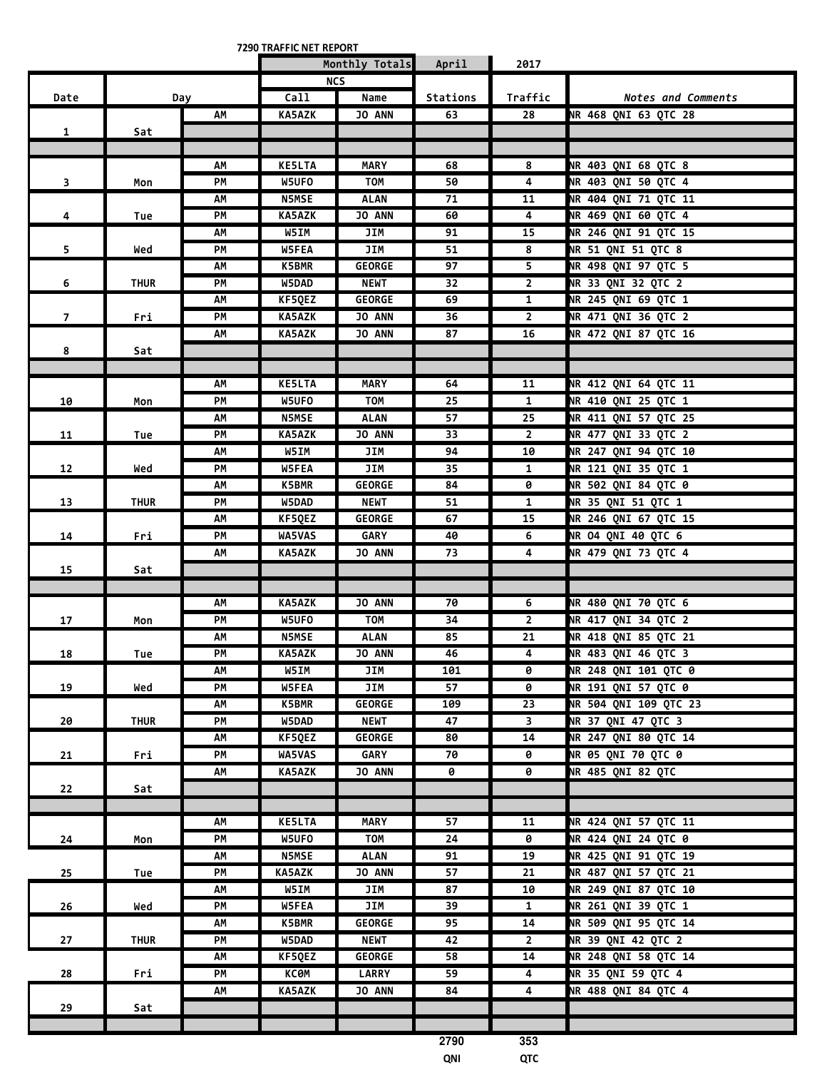**7290 TRAFFIC NET REPORT**

|                         |             |     |               | Monthly Totals | April           | 2017                     |                             |
|-------------------------|-------------|-----|---------------|----------------|-----------------|--------------------------|-----------------------------|
|                         |             |     |               | <b>NCS</b>     |                 |                          |                             |
| Date                    |             | Day | Call          | Name           | Stations        | Traffic                  | <b>Notes and Comments</b>   |
|                         |             | АΜ  | KA5AZK        | JO ANN         | 63              | 28                       | NR 468 QNI 63 QTC 28        |
| $\mathbf{1}$            | Sat         |     |               |                |                 |                          |                             |
|                         |             |     |               |                |                 |                          |                             |
|                         |             | АΜ  | <b>KE5LTA</b> | <b>MARY</b>    | 68              | 8                        | NR 403 QNI 68 QTC 8         |
| $\overline{\mathbf{3}}$ | Mon         | PM  | W5UFO         | <b>TOM</b>     | 50              | 4                        | NR 403 QNI 50 QTC 4         |
|                         |             | АΜ  | <b>N5MSE</b>  | <b>ALAN</b>    | 71              | 11                       | NR 404 QNI 71 QTC 11        |
| 4                       | Tue         | PM  | <b>KA5AZK</b> | <b>JO ANN</b>  | 60              | $\overline{4}$           | NR 469 QNI 60 QTC 4         |
|                         |             | AΜ  | W5IM          | JIM            | 91              | 15                       | NR 246 QNI 91 QTC 15        |
|                         |             | PМ  | W5FEA         | JIM            | 51              | $\overline{\mathbf{8}}$  | NR 51 QNI 51 QTC 8          |
| 5                       | Wed         |     |               | <b>GEORGE</b>  | 97              | $\overline{\phantom{0}}$ |                             |
|                         |             | AΜ  | K5BMR         |                |                 |                          | NR 498 QNI 97 QTC 5         |
| 6                       | <b>THUR</b> | PM  | W5DAD         | <b>NEWT</b>    | 32              | $\overline{2}$           | NR 33 QNI 32 QTC 2          |
|                         |             | АΜ  | KF5QEZ        | <b>GEORGE</b>  | 69              | $\mathbf{1}$             | NR 245 QNI 69 QTC 1         |
| $\overline{7}$          | Fri         | PM  | <b>KA5AZK</b> | JO ANN         | 36              | $\mathbf{2}$             | NR 471 QNI 36 QTC 2         |
|                         |             | AΜ  | <b>KA5AZK</b> | JO ANN         | 87              | 16                       | <b>NR 472 QNI 87 QTC 16</b> |
| 8                       | Sat         |     |               |                |                 |                          |                             |
|                         |             |     |               |                |                 |                          |                             |
|                         |             | АΜ  | <b>KE5LTA</b> | <b>MARY</b>    | 64              | 11                       | <b>NR 412 QNI 64 QTC 11</b> |
| 10                      | Mon         | PM  | W5UFO         | <b>TOM</b>     | $\overline{25}$ | $\mathbf{1}$             | NR 410 QNI 25 QTC 1         |
|                         |             | AΜ  | <b>N5MSE</b>  | <b>ALAN</b>    | 57              | 25                       | NR 411 QNI 57 QTC 25        |
| 11                      | Tue         | PM  | KA5AZK        | <b>JO ANN</b>  | 33              | $\mathbf{2}$             | NR 477 QNI 33 QTC 2         |
|                         |             | АΜ  | W5IM          | JIM            | 94              | 10                       | <b>NR 247 QNI 94 QTC 10</b> |
| 12                      | Wed         | PМ  | <b>W5FEA</b>  | JIM            | 35              | $\mathbf{1}$             | NR 121 QNI 35 QTC 1         |
|                         |             | AΜ  | K5BMR         | <b>GEORGE</b>  | 84              | 0                        | <b>NR 502 QNI 84 QTC 0</b>  |
| 13                      | <b>THUR</b> | PM  | W5DAD         | <b>NEWT</b>    | 51              | $\mathbf{1}$             | NR 35 QNI 51 QTC 1          |
|                         |             | АΜ  | KF5QEZ        | <b>GEORGE</b>  | 67              | 15                       | NR 246 QNI 67 QTC 15        |
| 14                      | Fri         | PM  | WA5VAS        | <b>GARY</b>    | 40              | 6                        | <b>NR 04 QNI 40 QTC 6</b>   |
|                         |             | AΜ  | <b>KA5AZK</b> | JO ANN         | 73              | 4                        | NR 479 QNI 73 QTC 4         |
| 15                      | Sat         |     |               |                |                 |                          |                             |
|                         |             |     |               |                |                 |                          |                             |
|                         |             | АΜ  | <b>KA5AZK</b> | JO ANN         | 70              | 6                        | <b>NR 480 QNI 70 QTC 6</b>  |
| 17                      | Mon         | PM  | W5UFO         | <b>TOM</b>     | 34              | $\overline{2}$           | <b>NR 417 QNI 34 QTC 2</b>  |
|                         |             | ΛМ  | <b>N5MSE</b>  | <b>ALAN</b>    | 85              | 21                       | <b>NR 418 QNI 85 QTC 21</b> |
| 18                      |             | PM  | <b>KA5AZK</b> | <b>JO ANN</b>  | 46              | 4                        | NR 483 QNI 46 QTC 3         |
|                         | Tue         | АΜ  | W5IM          | JIM            | 101             | 0                        | <b>NR 248 QNI 101 QTC 0</b> |
|                         | Wed         | PМ  | <b>W5FEA</b>  | JIM            | 57              | ø                        | NR 191 QNI 57 QTC 0         |
| 19                      |             |     | <b>K5BMR</b>  |                |                 | 23                       | NR 504 QNI 109 QTC 23       |
|                         |             | АΜ  |               | <b>GEORGE</b>  | 109             |                          |                             |
| 20                      | <b>THUR</b> | PM  | W5DAD         | <b>NEWT</b>    | 47              | $\overline{\mathbf{3}}$  | NR 37 QNI 47 QTC 3          |
|                         |             | АM  | KF5QEZ        | <b>GEORGE</b>  | 80              | 14                       | <b>NR 247 QNI 80 QTC 14</b> |
| 21                      | Fri         | PM  | WA5VAS        | <b>GARY</b>    | 70              | 0                        | <b>NR 05 QNI 70 QTC 0</b>   |
|                         |             | AM  | <b>KA5AZK</b> | <b>JO ANN</b>  | 0               | 0                        | NR 485 QNI 82 QTC           |
| 22                      | Sat         |     |               |                |                 |                          |                             |
|                         |             |     |               |                |                 |                          |                             |
|                         |             | АΜ  | <b>KE5LTA</b> | <b>MARY</b>    | 57              | 11                       | NR 424 QNI 57 QTC 11        |
| 24                      | Mon         | PM  | W5UFO         | TOM            | 24              | 0                        | <b>NR 424 QNI 24 QTC 0</b>  |
|                         |             | AM  | <b>N5MSE</b>  | <b>ALAN</b>    | 91              | 19                       | NR 425 QNI 91 QTC 19        |
| 25                      | Tue         | PM  | KA5AZK        | JO ANN         | 57              | 21                       | NR 487 QNI 57 QTC 21        |
|                         |             | AM  | W5IM          | JIM            | 87              | 10                       | <b>NR 249 QNI 87 QTC 10</b> |
| 26                      | Wed         | PМ  | <b>W5FEA</b>  | JIM            | 39              | $\mathbf{1}$             | NR 261 QNI 39 QTC 1         |
|                         |             | AΜ  | <b>K5BMR</b>  | <b>GEORGE</b>  | 95              | 14                       | NR 509 QNI 95 QTC 14        |
| 27                      | <b>THUR</b> | PM  | W5DAD         | <b>NEWT</b>    | 42              | $\overline{2}$           | NR 39 QNI 42 QTC 2          |
|                         |             | АΜ  | KF5QEZ        | <b>GEORGE</b>  | 58              | 14                       | NR 248 QNI 58 QTC 14        |
| 28                      | Fri         | PМ  | КСӨМ          | <b>LARRY</b>   | 59              | 4                        | NR 35 QNI 59 QTC 4          |
|                         |             | ΛМ  | <b>KA5AZK</b> | <b>JO ANN</b>  | 84              | 4                        | <b>NR 488 QNI 84 QTC 4</b>  |
| 29                      | Sat         |     |               |                |                 |                          |                             |
|                         |             |     |               |                |                 |                          |                             |
|                         |             |     |               |                | 2790            | 353                      |                             |
|                         |             |     |               |                |                 |                          |                             |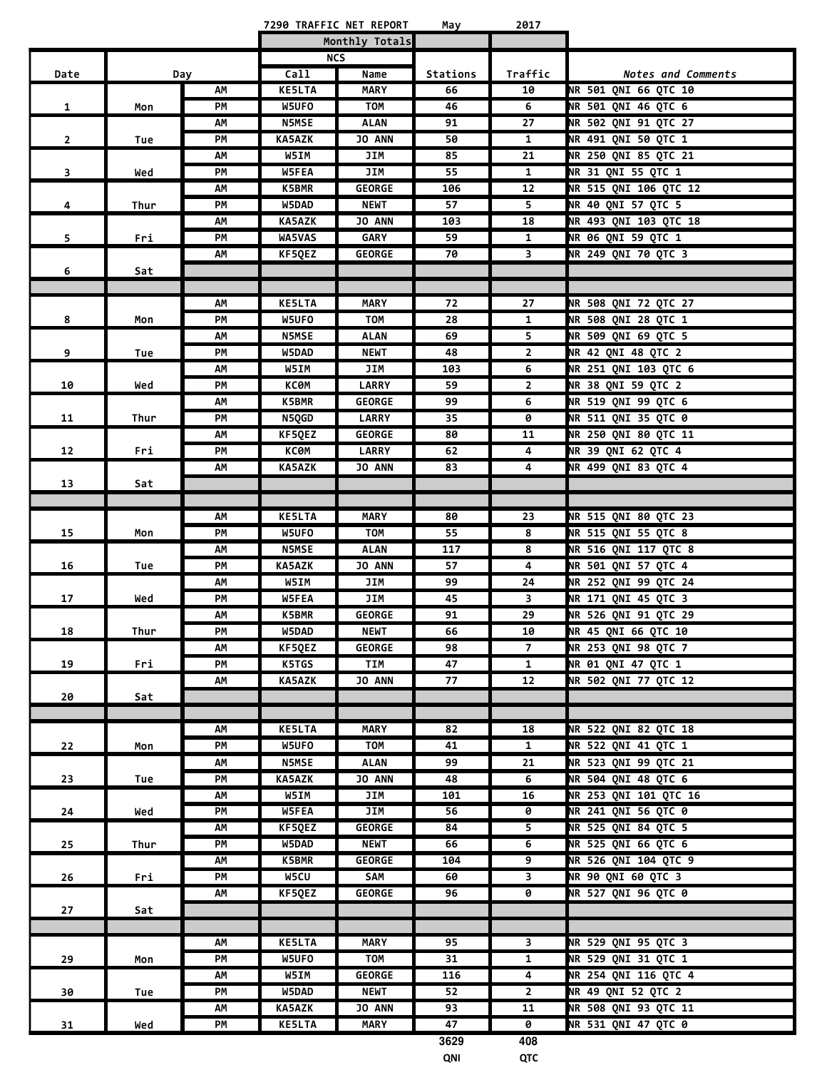|                         |      |     |               | 7290 TRAFFIC NET REPORT | May      | 2017                    |                            |
|-------------------------|------|-----|---------------|-------------------------|----------|-------------------------|----------------------------|
|                         |      |     |               | Monthly Totals          |          |                         |                            |
|                         |      |     |               | <b>NCS</b>              |          |                         |                            |
| Date                    |      | Day | Call          | Name                    | Stations | Traffic                 | Notes and Comments         |
|                         |      | AM  | <b>KE5LTA</b> | <b>MARY</b>             | 66       | 10                      | NR 501 QNI 66 QTC 10       |
| $\mathbf{1}$            | Mon  | PM  | W5UFO         | TOM                     | 46       | 6                       | NR 501 QNI 46 QTC 6        |
|                         |      | АΜ  | <b>N5MSE</b>  | <b>ALAN</b>             | 91       | 27                      | NR 502 QNI 91 QTC 27       |
|                         |      |     |               | JO ANN                  |          |                         | NR 491 QNI 50 QTC 1        |
| $\overline{2}$          | Tue  | PM  | <b>KA5AZK</b> |                         | 50       | $\mathbf{1}$            |                            |
|                         |      | АΜ  | W5IM          | JIM                     | 85       | 21                      | NR 250 QNI 85 QTC 21       |
| $\overline{\mathbf{3}}$ | Wed  | РM  | W5FEA         | JIM                     | 55       | $\mathbf{1}$            | NR 31 QNI 55 QTC 1         |
|                         |      | АΜ  | <b>K5BMR</b>  | <b>GEORGE</b>           | 106      | 12                      | NR 515 QNI 106 QTC 12      |
| 4                       | Thur | PМ  | W5DAD         | <b>NEWT</b>             | 57       | 5                       | NR 40 QNI 57 QTC 5         |
|                         |      | АΜ  | <b>KA5AZK</b> | <b>JO ANN</b>           | 103      | 18                      | NR 493 QNI 103 QTC 18      |
| 5.                      | Fri  | PМ  | <b>WA5VAS</b> | <b>GARY</b>             | 59       | $\mathbf{1}$            | NR 06 QNI 59 QTC 1         |
|                         |      | AM  | KF5QEZ        | <b>GEORGE</b>           | 70       | 3                       | NR 249 QNI 70 QTC 3        |
| 6                       | Sat  |     |               |                         |          |                         |                            |
|                         |      |     |               |                         |          |                         |                            |
|                         |      | АΜ  | <b>KE5LTA</b> | <b>MARY</b>             | 72       | 27                      | NR 508 QNI 72 QTC 27       |
| 8                       | Mon  | PM  | W5UFO         | TOM                     | 28       | $\mathbf{1}$            | NR 508 QNI 28 QTC 1        |
|                         |      | АΜ  | <b>N5MSE</b>  | <b>ALAN</b>             | 69       | 5                       | NR 509 QNI 69 QTC 5        |
| 9                       | Tue  | PМ  | W5DAD         | <b>NEWT</b>             | 48       | $\mathbf{2}$            | <b>NR 42 QNI 48 QTC 2</b>  |
|                         |      | АΜ  | W5IM          | JIM                     | 103      | 6                       | NR 251 QNI 103 QTC 6       |
| 10                      | Wed  | PМ  | КСӨМ          | <b>LARRY</b>            | 59       | $\overline{2}$          | NR 38 QNI 59 QTC 2         |
|                         |      |     | <b>K5BMR</b>  | <b>GEORGE</b>           | 99       | 6                       | NR 519 QNI 99 QTC 6        |
|                         |      | АΜ  |               |                         |          |                         |                            |
| 11                      | Thur | PM  | N5QGD         | <b>LARRY</b>            | 35       | 0                       | NR 511 QNI 35 QTC 0        |
|                         |      | AΜ  | KF5QEZ        | <b>GEORGE</b>           | 80       | 11                      | NR 250 QNI 80 QTC 11       |
| 12                      | Fri  | PM  | КСӨМ          | <b>LARRY</b>            | 62       | 4                       | <b>NR 39 QNI 62 QTC 4</b>  |
|                         |      | АΜ  | KA5AZK        | JO ANN                  | 83       | 4                       | <b>NR 499 QNI 83 QTC 4</b> |
| 13                      | Sat  |     |               |                         |          |                         |                            |
|                         |      |     |               |                         |          |                         |                            |
|                         |      | АΜ  | <b>KE5LTA</b> | <b>MARY</b>             | 80       | 23                      | NR 515 QNI 80 QTC 23       |
| 15                      | Mon  | PМ  | W5UFO         | <b>TOM</b>              | 55       | 8                       | NR 515 QNI 55 QTC 8        |
|                         |      | АΜ  | <b>N5MSE</b>  | <b>ALAN</b>             | 117      | 8                       | NR 516 QNI 117 QTC 8       |
| 16                      | Tue  | PМ  | <b>KA5AZK</b> | <b>JO ANN</b>           | 57       | 4                       | NR 501 QNI 57 QTC 4        |
|                         |      | АΜ  | W5IM          | JIM                     | 99       | 24                      | NR 252 QNI 99 QTC 24       |
| 17                      | Wed  | PМ  | W5FEA         | JIM                     | 45       | 3                       | NR 171 QNI 45 QTC 3        |
|                         |      | АΜ  | <b>K5BMR</b>  | <b>GEORGE</b>           | 91       | 29                      | NR 526 QNI 91 QTC 29       |
| 18                      | Thur | PМ  | W5DAD         | NEWT                    | 66       | 10                      | NR 45 QNI 66 QTC 10        |
|                         |      | AM  | KF5QEZ        | <b>GEORGE</b>           | 98       | $\overline{7}$          | NR 253 QNI 98 QTC 7        |
| 19                      | Fri  | PM  | K5TGS         | TIM                     | 47       | $\mathbf{1}$            | <b>NR 01 QNI 47 QTC 1</b>  |
|                         |      | AM  | KA5AZK        | JO ANN                  | 77       | 12                      | NR 502 QNI 77 QTC 12       |
| 20                      | Sat  |     |               |                         |          |                         |                            |
|                         |      |     |               |                         |          |                         |                            |
|                         |      | АΜ  | <b>KE5LTA</b> | <b>MARY</b>             | 82       | 18                      | NR 522 QNI 82 QTC 18       |
| 22                      | Mon  | PM  | W5UFO         | <b>TOM</b>              | 41       | $\mathbf{1}$            | NR 522 QNI 41 QTC 1        |
|                         |      | AM  | <b>N5MSE</b>  | <b>ALAN</b>             | 99       | 21                      | NR 523 QNI 99 QTC 21       |
|                         |      |     |               |                         |          |                         | NR 504 QNI 48 QTC 6        |
| 23                      | Tue  | PM  | <b>KA5AZK</b> | JO ANN                  | 48       | 6                       |                            |
|                         |      | АΜ  | W5IM          | JIM                     | 101      | 16                      | NR 253 QNI 101 QTC 16      |
| 24                      | Wed  | PM  | W5FEA         | JIM                     | 56       | 0                       | <b>NR 241 QNI 56 QTC 0</b> |
|                         |      | AM  | KF5QEZ        | <b>GEORGE</b>           | 84       | 5                       | NR 525 QNI 84 QTC 5        |
| 25                      | Thur | PM  | W5DAD         | <b>NEWT</b>             | 66       | 6                       | NR 525 QNI 66 QTC 6        |
|                         |      | AM  | K5BMR         | <b>GEORGE</b>           | 104      | 9                       | NR 526 QNI 104 QTC 9       |
| 26                      | Fri  | PМ  | W5CU          | SAM                     | 60       | $\overline{3}$          | <b>NR 90 QNI 60 QTC 3</b>  |
|                         |      | АΜ  | <b>KF5QEZ</b> | <b>GEORGE</b>           | 96       | 0                       | NR 527 QNI 96 QTC 0        |
| 27                      | Sat  |     |               |                         |          |                         |                            |
|                         |      |     |               |                         |          |                         |                            |
|                         |      | АΜ  | <b>KE5LTA</b> | <b>MARY</b>             | 95       | $\overline{\mathbf{3}}$ | NR 529 QNI 95 QTC 3        |
| 29                      | Mon  | PM  | W5UFO         | TOM                     | 31       | $\mathbf{1}$            | NR 529 QNI 31 QTC 1        |
|                         |      | АΜ  | W5IM          | <b>GEORGE</b>           | 116      | 4                       | NR 254 QNI 116 QTC 4       |
| 30                      | Tue  | PM  | W5DAD         | <b>NEWT</b>             | 52       | $\overline{2}$          | NR 49 QNI 52 QTC 2         |
|                         |      | AM  | <b>KA5AZK</b> | <b>JO ANN</b>           | 93       | 11                      | NR 508 QNI 93 QTC 11       |
| 31                      | Wed  | PM  | <b>KE5LTA</b> | <b>MARY</b>             | 47       | 0                       | <b>NR 531 QNI 47 QTC 0</b> |
|                         |      |     |               |                         |          |                         |                            |

**3629 408 QNI QTC**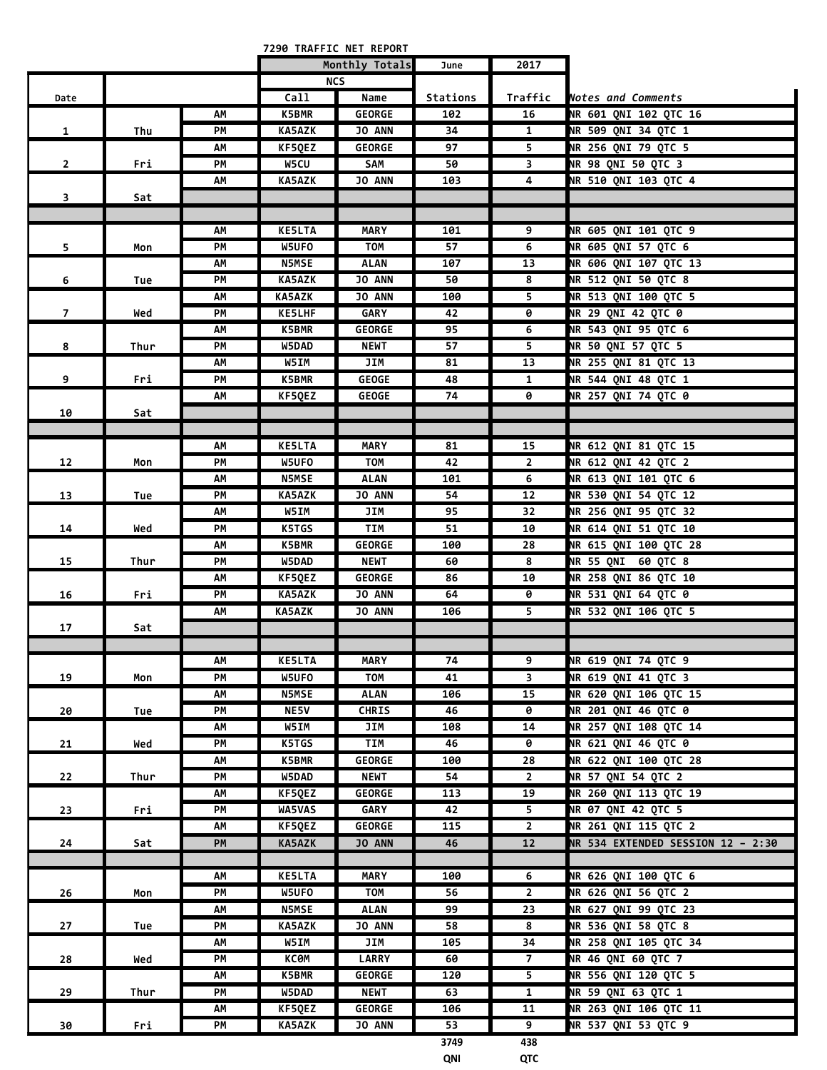|                |      |    |               | 7290 TRAFFIC NET REPORT |          |                          |                                   |
|----------------|------|----|---------------|-------------------------|----------|--------------------------|-----------------------------------|
|                |      |    |               | Monthly Totals          | June     | 2017                     |                                   |
|                |      |    |               | <b>NCS</b>              |          |                          |                                   |
| Date           |      |    | Call          | Name                    | Stations | Traffic                  | <b>Notes and Comments</b>         |
|                |      | АΜ | K5BMR         | <b>GEORGE</b>           | 102      | 16                       | NR 601 QNI 102 QTC 16             |
| $\mathbf{1}$   | Thu  | PМ | <b>KA5AZK</b> | <b>JO ANN</b>           | 34       | $\mathbf{1}$             | NR 509 QNI 34 QTC 1               |
|                |      | АΜ | KF5QEZ        | <b>GEORGE</b>           | 97       | 5                        | NR 256 QNI 79 QTC 5               |
| $\overline{2}$ | Fri  | PМ | W5CU          | SAM                     | 50       | 3                        | NR 98 QNI 50 QTC 3                |
|                |      | АΜ | <b>KA5AZK</b> | <b>JO ANN</b>           | 103      | 4                        | NR 510 QNI 103 QTC 4              |
| 3              | Sat  |    |               |                         |          |                          |                                   |
|                |      |    |               |                         |          |                          |                                   |
|                |      | АΜ | <b>KE5LTA</b> | <b>MARY</b>             | 101      | 9                        | NR 605 QNI 101 QTC 9              |
| 5              | Mon  | PМ | W5UFO         | <b>TOM</b>              | 57       | 6                        | NR 605 QNI 57 QTC 6               |
|                |      | АΜ | <b>N5MSE</b>  | ALAN                    | 107      | 13                       | NR 606 QNI 107 QTC 13             |
| 6              | Tue  | PМ | KA5AZK        | JO ANN                  | 50       | $\overline{\mathbf{8}}$  | NR 512 QNI 50 QTC 8               |
|                |      | AΜ | <b>KA5AZK</b> | <b>JO ANN</b>           | 100      | 5 <sup>2</sup>           | NR 513 QNI 100 QTC 5              |
| $\overline{7}$ | Wed  | PМ | <b>KE5LHF</b> | <b>GARY</b>             | 42       | 0                        | <b>NR 29 QNI 42 QTC 0</b>         |
|                |      | АΜ | <b>K5BMR</b>  | <b>GEORGE</b>           | 95       | 6                        | NR 543 QNI 95 QTC 6               |
| 8              | Thur | PМ | W5DAD         | <b>NEWT</b>             | 57       | 5                        | NR 50 QNI 57 QTC 5                |
|                |      | AΜ | W5IM          | JIM                     | 81       | 13                       | NR 255 QNI 81 QTC 13              |
| 9              | Fri  | PМ | <b>K5BMR</b>  | <b>GEOGE</b>            | 48       | $\mathbf{1}$             | <b>NR 544 QNI 48 QTC 1</b>        |
|                |      | АΜ | KF5QEZ        | <b>GEOGE</b>            | 74       | 0                        | NR 257 QNI 74 QTC 0               |
| 10             | Sat  |    |               |                         |          |                          |                                   |
|                |      |    |               |                         |          |                          |                                   |
|                |      | АΜ | <b>KE5LTA</b> | <b>MARY</b>             | 81       | 15                       | NR 612 QNI 81 QTC 15              |
| 12             | Mon  | PМ | W5UFO         | TOM                     | 42       | $\overline{2}$           | NR 612 QNI 42 QTC 2               |
|                |      | АΜ | <b>N5MSE</b>  | <b>ALAN</b>             | 101      | 6                        | NR 613 QNI 101 QTC 6              |
| 13             | Tue  | PМ | <b>KA5AZK</b> | <b>JO ANN</b>           | 54       | 12                       | NR 530 QNI 54 QTC 12              |
|                |      | AΜ | W5IM          | JIM                     | 95       | 32                       | NR 256 QNI 95 QTC 32              |
| 14             | Wed  | PМ | K5TGS         | TIM                     | 51       | 10                       | NR 614 QNI 51 QTC 10              |
|                |      | АΜ | K5BMR         | <b>GEORGE</b>           | 100      | 28                       | NR 615 QNI 100 QTC 28             |
| 15             | Thur | PМ | W5DAD         | <b>NEWT</b>             | 60       | 8                        | NR 55 QNI 60 QTC 8                |
|                |      | АΜ | KF5QEZ        | <b>GEORGE</b>           | 86       | 10                       | <b>NR 258 QNI 86 QTC 10</b>       |
| 16             | Fri  | PM | <b>KA5AZK</b> | JO ANN                  | 64       | 0                        | NR 531 QNI 64 QTC 0               |
|                |      | AΜ | KA5AZK        | JO ANN                  | 106      | 5                        | NR 532 QNI 106 QTC 5              |
| 17             | Sat  |    |               |                         |          |                          |                                   |
|                |      |    |               |                         |          |                          |                                   |
|                |      | АΜ | <b>KE5LTA</b> | <b>MARY</b>             | 74       | $\overline{9}$           | NR 619 QNI 74 QTC 9               |
| 19             | Mon  | PM | W5UFO         | <b>TOM</b>              | 41       | $\overline{\mathbf{3}}$  | NR 619 QNI 41 QTC 3               |
|                |      | AM | <b>N5MSE</b>  | <b>ALAN</b>             | 106      | 15                       | NR 620 QNI 106 QTC 15             |
| 20             | Tue  | PM | <b>NE5V</b>   | <b>CHRIS</b>            | 46       | 0                        | <b>NR 201 QNI 46 QTC 0</b>        |
|                |      | АΜ | W5IM          | JIM                     | 108      | 14                       | NR 257 QNI 108 QTC 14             |
| 21             | Wed  | PM | K5TGS         | TIM                     | 46       | 0                        | <b>NR 621 QNI 46 QTC 0</b>        |
|                |      | АΜ | <b>K5BMR</b>  | <b>GEORGE</b>           | 100      | 28                       | NR 622 QNI 100 QTC 28             |
| 22             | Thur | PM | W5DAD         | <b>NEWT</b>             | 54       | $\overline{2}$           | NR 57 QNI 54 QTC 2                |
|                |      | АΜ | KF5QEZ        | <b>GEORGE</b>           | 113      | 19                       | NR 260 QNI 113 QTC 19             |
| 23             | Fri  | PM | WA5VAS        | GARY                    | 42       | $\overline{\mathbf{5}}$  | NR 07 QNI 42 QTC 5                |
|                |      | ΛМ | KF5QEZ        | <b>GEORGE</b>           | 115      | $\overline{2}$           | NR 261 QNI 115 QTC 2              |
| 24             | Sat  | PM | KA5AZK        | JO ANN                  | 46       | 12                       | NR 534 EXTENDED SESSION 12 - 2:30 |
|                |      |    |               |                         |          |                          |                                   |
|                |      | АΜ | <b>KE5LTA</b> | <b>MARY</b>             | 100      | 6                        | NR 626 QNI 100 QTC 6              |
| 26             | Mon  | PM | W5UFO         | TOM                     | 56       | $\overline{2}$           | NR 626 QNI 56 QTC 2               |
|                |      | AM | <b>N5MSE</b>  | <b>ALAN</b>             | 99       | 23                       | NR 627 QNI 99 QTC 23              |
| 27             | Tue  | PM | <b>KA5AZK</b> | JO ANN                  | 58       | 8                        | NR 536 QNI 58 QTC 8               |
|                |      | АΜ | W5IM          | JIM                     | 105      | 34                       | NR 258 QNI 105 QTC 34             |
| 28             | Wed  | PM | КСӨМ          | <b>LARRY</b>            | 60       | $\overline{7}$           | <b>NR 46 QNI 60 QTC 7</b>         |
|                |      | АΜ | <b>K5BMR</b>  | <b>GEORGE</b>           | 120      | $\overline{\phantom{0}}$ | NR 556 QNI 120 QTC 5              |
| 29             | Thur | PМ | W5DAD         | <b>NEWT</b>             | 63       | $\mathbf{1}$             | NR 59 QNI 63 QTC 1                |
|                |      | АΜ | KF5QEZ        | <b>GEORGE</b>           | 106      | 11                       | NR 263 QNI 106 QTC 11             |
| 30             | Fri  | PМ | <b>KA5AZK</b> | JO ANN                  | 53       | 9                        | NR 537 QNI 53 QTC 9               |
|                |      |    |               |                         | 3749     | 438                      |                                   |
|                |      |    |               |                         |          |                          |                                   |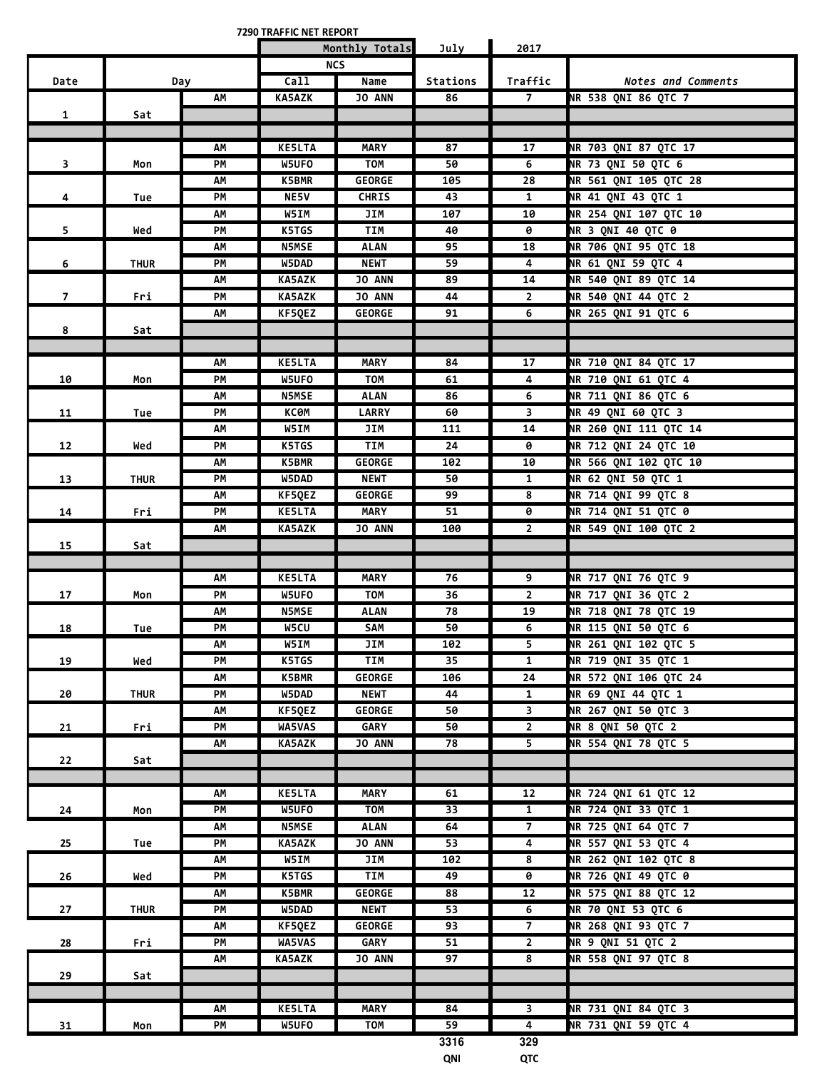**7290 TRAFFIC NET REPORT**

|                |             |          |                        | Monthly Totals            | July     | 2017                    |                                            |
|----------------|-------------|----------|------------------------|---------------------------|----------|-------------------------|--------------------------------------------|
|                |             |          |                        | <b>NCS</b>                |          |                         |                                            |
| Date           |             | Day      | Call                   | Name                      | Stations | Traffic                 | Notes and Comments                         |
|                |             | AM       | <b>KA5AZK</b>          | <b>JO ANN</b>             | 86       | $\overline{7}$          | NR 538 QNI 86 QTC 7                        |
| $\mathbf{1}$   | Sat         |          |                        |                           |          |                         |                                            |
|                |             |          |                        |                           |          |                         |                                            |
|                |             | АΜ       | <b>KE5LTA</b>          | <b>MARY</b>               | 87       | 17                      | NR 703 QNI 87 QTC 17                       |
| 3              | Mon         | PM       | W5UFO                  | <b>TOM</b>                | 50       | 6                       | NR 73 QNI 50 QTC 6                         |
|                |             | AM       | K5BMR                  | <b>GEORGE</b>             | 105      | 28                      | NR 561 QNI 105 QTC 28                      |
| 4              | Tue         | PM       | NE5V                   | <b>CHRIS</b>              | 43       | $\mathbf{1}$            | NR 41 QNI 43 QTC 1                         |
|                |             | AM       | W5IM                   | JIM                       | 107      | 10                      | NR 254 QNI 107 QTC 10                      |
| 5              | Wed         | PM       | K5TGS                  | TIM                       | 40       | 0                       | <b>NR 3 QNI 40 QTC 0</b>                   |
|                |             | АΜ       | <b>N5MSE</b>           | <b>ALAN</b>               | 95       | 18                      | NR 706 QNI 95 QTC 18                       |
| 6              | <b>THUR</b> | PM       | W5DAD                  | <b>NEWT</b>               | 59       | 4                       | NR 61 QNI 59 QTC 4                         |
|                |             | AM       | <b>KA5AZK</b>          | <b>JO ANN</b>             | 89       | 14                      | NR 540 QNI 89 QTC 14                       |
| $\overline{7}$ | Fri         | PМ       | <b>KA5AZK</b>          | <b>JO ANN</b>             | 44       | $\overline{2}$          | NR 540 QNI 44 QTC 2                        |
|                |             | АΜ       | KF5QEZ                 | <b>GEORGE</b>             | 91       | 6                       | NR 265 QNI 91 QTC 6                        |
| 8              | Sat         |          |                        |                           |          |                         |                                            |
|                |             |          |                        |                           |          |                         |                                            |
|                |             | АM       | <b>KE5LTA</b>          | <b>MARY</b>               | 84       | 17                      | NR 710 QNI 84 QTC 17                       |
| 10             | Mon         | PM       | W5UFO                  | <b>TOM</b>                | 61       | 4                       | NR 710 QNI 61 QTC 4                        |
|                |             | AM       | <b>N5MSE</b>           | <b>ALAN</b>               | 86       | 6                       | NR 711 QNI 86 QTC 6                        |
| 11             | Tue         | PM       | КСӨМ                   | <b>LARRY</b>              | 60       | 3                       | NR 49 QNI 60 QTC 3                         |
|                |             | АΜ       | W5IM                   | JIM                       | 111      | 14                      | NR 260 QNI 111 QTC 14                      |
| 12             | Wed         | PM       | K5TGS                  | <b>TIM</b>                | 24       | 0                       | NR 712 QNI 24 QTC 10                       |
|                |             | АΜ       | K5BMR                  | <b>GEORGE</b>             | 102      | 10                      | <b>NR 566 QNI 102 QTC 10</b>               |
| 13             | <b>THUR</b> | PM       | W5DAD                  | <b>NEWT</b>               | 50       | $\mathbf{1}$            | NR 62 QNI 50 QTC 1                         |
|                |             | AM       | KF5QEZ                 | <b>GEORGE</b>             | 99       | 8                       | NR 714 QNI 99 QTC 8                        |
| 14             | Fri         | PM       | <b>KE5LTA</b>          | <b>MARY</b>               | 51       | 0                       | NR 714 QNI 51 QTC 0                        |
|                |             | AM       | <b>KA5AZK</b>          | JO ANN                    | 100      | $\overline{2}$          | NR 549 QNI 100 QTC 2                       |
| 15             | Sat         |          |                        |                           |          |                         |                                            |
|                |             | АΜ       | <b>KE5LTA</b>          | <b>MARY</b>               | 76       | 9                       | <b>NR 717 QNI 76 QTC 9</b>                 |
| 17             | Mon         | PM       | W5UFO                  | <b>TOM</b>                | 36       | $\overline{2}$          | NR 717 QNI 36 QTC 2                        |
|                |             | АΜ       | <b>N5MSE</b>           | <b>ALAN</b>               | 78       | 19                      | NR 718 QNI 78 QTC 19                       |
| 18             | Tue         | PM       | W5CU                   | SAM                       | 50       | 6                       | NR 115 QNI 50 QTC 6                        |
|                |             | AM       | W5IM                   | JIM                       | 102      | 5.                      | NR 261 QNI 102 QTC 5                       |
| 19             | Wed         | PM       | K5TGS                  | TIM                       | 35       | $\mathbf{1}$            | NR 719 QNI 35 QTC 1                        |
|                |             | АM       | <b>K5BMR</b>           | <b>GEORGE</b>             | 106      | 24                      | NR 572 QNI 106 QTC 24                      |
| 20             | <b>THUR</b> | PM       | W5DAD                  | <b>NEWT</b>               | 44       | $\mathbf{1}$            | NR 69 QNI 44 QTC 1                         |
|                |             | АM       | KF5QEZ                 | <b>GEORGE</b>             | 50       | $\overline{\mathbf{3}}$ | NR 267 QNI 50 QTC 3                        |
| 21             | Fri         | PM       | WA5VAS                 | GARY                      | 50       | $\overline{2}$          | NR 8 QNI 50 QTC 2                          |
|                |             | AM       | KA5AZK                 | <b>JO ANN</b>             | 78       | $\overline{\mathbf{5}}$ | NR 554 QNI 78 QTC 5                        |
| 22             | Sat         |          |                        |                           |          |                         |                                            |
|                |             |          |                        |                           |          |                         |                                            |
|                |             | АΜ       | <b>KE5LTA</b>          | <b>MARY</b>               | 61       | 12                      | NR 724 QNI 61 QTC 12                       |
| 24             | Mon         | PM       | W5UFO                  | <b>TOM</b>                | 33       | $\mathbf{1}$            | NR 724 QNI 33 QTC 1                        |
|                |             | АM       | <b>N5MSE</b>           | <b>ALAN</b>               | 64       | $\overline{7}$          | NR 725 QNI 64 QTC 7                        |
| 25             | Tue         | PM       | <b>KA5AZK</b>          | <b>JO ANN</b>             | 53       | $\overline{4}$          | NR 557 QNI 53 QTC 4                        |
|                |             | АM       | W5IM                   | JIM                       | 102      | 8                       | NR 262 QNI 102 QTC 8                       |
| 26             | Wed         | PM       | K5TGS                  | TIM                       | 49       | $\overline{\mathbf{e}}$ | NR 726 QNI 49 QTC 0                        |
|                |             | ΑМ       | K5BMR                  | <b>GEORGE</b>             | 88       | 12                      | NR 575 QNI 88 QTC 12                       |
| 27             | <b>THUR</b> | PM       | W5DAD                  | <b>NEWT</b>               | 53       | 6                       | NR 70 QNI 53 QTC 6                         |
|                |             | АM       | KF5QEZ                 | <b>GEORGE</b>             | 93       | $\overline{7}$          | NR 268 QNI 93 QTC 7                        |
| 28             | Fri         | PM       | WA5VAS                 | GARY                      | 51       | $\overline{2}$          | <b>NR 9 QNI 51 QTC 2</b>                   |
|                |             | АM       | <b>KA5AZK</b>          | JO ANN                    | 97       | 8                       | NR 558 QNI 97 QTC 8                        |
| 29             | Sat         |          |                        |                           |          |                         |                                            |
|                |             |          |                        |                           |          | $\overline{\mathbf{3}}$ |                                            |
|                |             | АM<br>PM | <b>KE5LTA</b><br>W5UFO | <b>MARY</b><br><b>TOM</b> | 84<br>59 | $\overline{\mathbf{4}}$ | NR 731 QNI 84 QTC 3<br>NR 731 QNI 59 QTC 4 |
| 31             | Mon         |          |                        |                           | 3316     | 329                     |                                            |
|                |             |          |                        |                           |          |                         |                                            |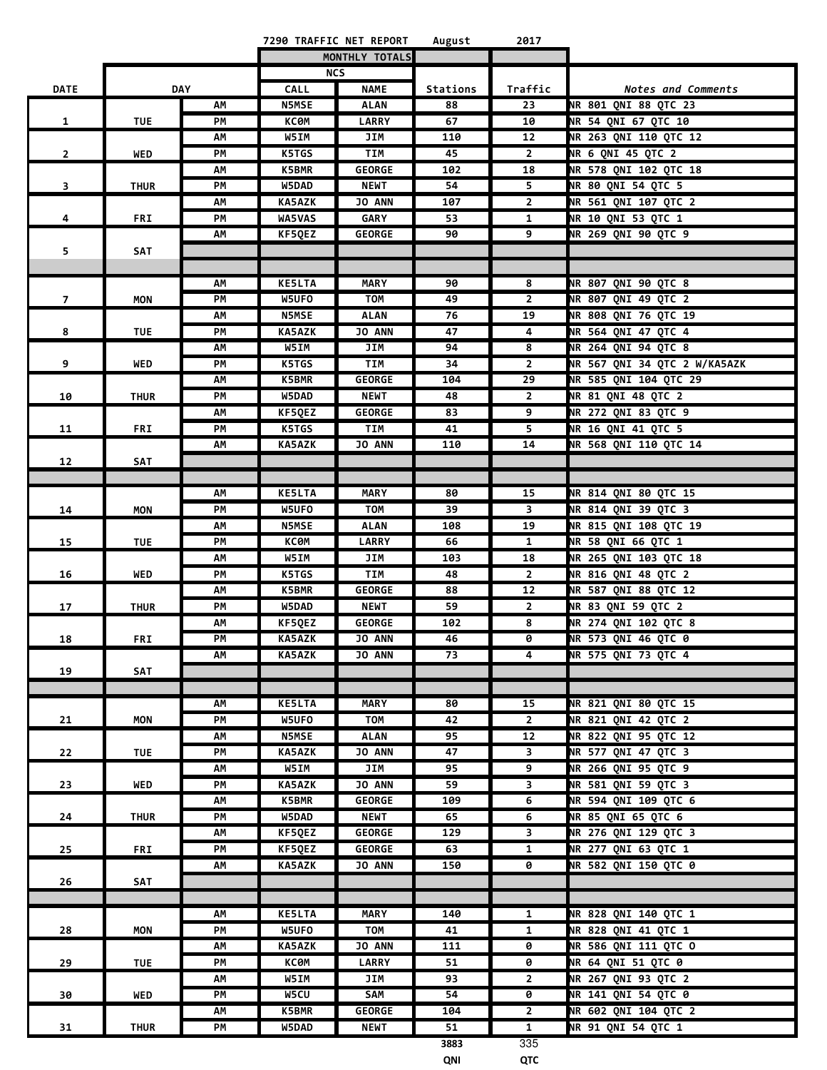|                |             |            |               | 7290 TRAFFIC NET REPORT | August   | 2017            |                              |
|----------------|-------------|------------|---------------|-------------------------|----------|-----------------|------------------------------|
|                |             |            |               | MONTHLY TOTALS          |          |                 |                              |
|                |             |            |               | <b>NCS</b>              |          |                 |                              |
| <b>DATE</b>    |             | <b>DAY</b> | <b>CALL</b>   | <b>NAME</b>             | Stations | Traffic         | Notes and Comments           |
|                |             | АΜ         | <b>N5MSE</b>  | <b>ALAN</b>             | 88       | 23              | NR 801 ONI 88 OTC 23         |
| $\mathbf{1}$   | <b>TUE</b>  | PМ         | <b>KC0M</b>   | <b>LARRY</b>            | 67       | 10              | NR 54 ONI 67 OTC 10          |
|                |             | АΜ         | W5IM          | JIM                     | 110      | 12              | NR 263 QNI 110 QTC 12        |
| $\mathbf{2}$   | WED         | PM         | K5TGS         | <b>TIM</b>              | 45       | $\overline{2}$  | NR 6 QNI 45 QTC 2            |
|                |             | АΜ         | K5BMR         | <b>GEORGE</b>           | 102      | 18              | NR 578 QNI 102 QTC 18        |
| 3              | <b>THUR</b> | PМ         | W5DAD         | <b>NEWT</b>             | 54       | 5               | NR 80 QNI 54 QTC 5           |
|                |             | АΜ         | <b>KA5AZK</b> | JO ANN                  | 107      | $\overline{2}$  | NR 561 QNI 107 QTC 2         |
| 4              | FRI         | PM         | <b>WA5VAS</b> | <b>GARY</b>             | 53       | $\mathbf{1}$    | NR 10 QNI 53 QTC 1           |
|                |             | АΜ         | KF5QEZ        | <b>GEORGE</b>           | 90       | 9               | NR 269 QNI 90 QTC 9          |
| 5.             | SAT         |            |               |                         |          |                 |                              |
|                |             |            |               |                         |          |                 |                              |
|                |             | АΜ         | <b>KE5LTA</b> | <b>MARY</b>             | 90       | 8               | <b>NR 807 QNI 90 QTC 8</b>   |
| $\overline{7}$ | MON         | PM         | W5UFO         | <b>TOM</b>              | 49       | $\overline{2}$  | NR 807 QNI 49 QTC 2          |
|                |             | АΜ         | <b>N5MSE</b>  | <b>ALAN</b>             | 76       | 19              | NR 808 QNI 76 QTC 19         |
| 8              | <b>TUE</b>  | PМ         | <b>KA5AZK</b> | <b>JO ANN</b>           | 47       | 4               | NR 564 QNI 47 QTC 4          |
|                |             | АΜ         | W5IM          | JIM                     | 94       | 8               | NR 264 QNI 94 QTC 8          |
| 9              | WED         | PM         | K5TGS         | <b>TIM</b>              | 34       | $\overline{2}$  | NR 567 QNI 34 QTC 2 W/KA5AZK |
|                |             | AΜ         | <b>K5BMR</b>  | <b>GEORGE</b>           | 104      | $\overline{29}$ | NR 585 QNI 104 QTC 29        |
| 10             | <b>THUR</b> | PM         | W5DAD         | <b>NEWT</b>             | 48       | $\overline{2}$  | NR 81 QNI 48 QTC 2           |
|                |             | АΜ         | KF5QEZ        | <b>GEORGE</b>           | 83       | $\overline{9}$  | NR 272 QNI 83 QTC 9          |
| 11             | <b>FRI</b>  | PM         | K5TGS         | <b>TIM</b>              | 41       | 5               | NR 16 QNI 41 QTC 5           |
|                |             | АΜ         | <b>KA5AZK</b> | <b>JO ANN</b>           | 110      | 14              | NR 568 QNI 110 QTC 14        |
| 12             | SAT         |            |               |                         |          |                 |                              |
|                |             |            |               |                         |          |                 |                              |
|                |             | AΜ         | <b>KE5LTA</b> | <b>MARY</b>             | 80       | 15              | NR 814 QNI 80 QTC 15         |
| 14             | <b>MON</b>  | PM         | W5UFO         | <b>TOM</b>              | 39       | 3               | NR 814 QNI 39 QTC 3          |
|                |             | AM         | <b>N5MSE</b>  | <b>ALAN</b>             | 108      | 19              | NR 815 QNI 108 QTC 19        |
| 15             | <b>TUE</b>  | PM         | <b>KC0M</b>   | <b>LARRY</b>            | 66       | $\mathbf{1}$    | <b>NR 58 QNI 66 QTC 1</b>    |
|                |             | АΜ         | W5IM          | JIM                     | 103      | 18              | NR 265 QNI 103 QTC 18        |
| 16             | WED         | PM         | K5TGS         | <b>TIM</b>              | 48       | $\overline{2}$  | NR 816 QNI 48 QTC 2          |
|                |             | АΜ         | K5BMR         | <b>GEORGE</b>           | 88       | 12              | NR 587 QNI 88 QTC 12         |
| 17             | <b>THUR</b> | PМ         | W5DAD         | <b>NEWT</b>             | 59       | $\overline{2}$  | NR 83 QNI 59 QTC 2           |
|                |             | АΜ         | KF50EZ        | <b>GEORGE</b>           | 102      | 8               | NR 274 QNI 102 QTC 8         |
| 18             | <b>FRI</b>  | PM         | <b>KA5AZK</b> | JO ANN                  | 46       | 0               | NR 573 QNI 46 QTC 0          |
|                |             | АM         | <b>KA5AZK</b> | <b>JO ANN</b>           | 73       | 4               | NR 575 QNI 73 QTC 4          |
| 19             | SAT         |            |               |                         |          |                 |                              |
|                |             |            |               |                         |          |                 |                              |
|                |             | АΜ         | <b>KE5LTA</b> | <b>MARY</b>             | 80       | 15              | NR 821 QNI 80 QTC 15         |
| 21             | <b>MON</b>  | PM         | W5UFO         | <b>TOM</b>              | 42       | $\overline{2}$  | NR 821 QNI 42 QTC 2          |
|                |             | АΜ         | <b>N5MSE</b>  | <b>ALAN</b>             | 95       | 12              | NR 822 ONI 95 OTC 12         |
| 22             | <b>TUE</b>  | PМ         | KA5AZK        | <b>JO ANN</b>           | 47       | 3               | NR 577 QNI 47 QTC 3          |
|                |             | АΜ         | W5IM          | JIM                     | 95       | 9               | NR 266 QNI 95 QTC 9          |
| 23             | WED         | PМ         | <b>KA5AZK</b> | <b>JO ANN</b>           | 59       | 3               | NR 581 QNI 59 QTC 3          |
|                |             | АΜ         | <b>K5BMR</b>  | <b>GEORGE</b>           | 109      | 6               | NR 594 QNI 109 QTC 6         |
| 24             | <b>THUR</b> | PМ         | W5DAD         | <b>NEWT</b>             | 65       | 6               | <b>NR 85 QNI 65 QTC 6</b>    |
|                |             | АΜ         | KF5QEZ        | <b>GEORGE</b>           | 129      | 3               | NR 276 QNI 129 QTC 3         |
| 25             | <b>FRI</b>  | PМ         | KF5QEZ        | <b>GEORGE</b>           | 63       | $\mathbf{1}$    | NR 277 QNI 63 QTC 1          |
|                |             | АΜ         | KA5AZK        | <b>JO ANN</b>           | 150      | 0               | NR 582 QNI 150 QTC 0         |
| 26             | SAT         |            |               |                         |          |                 |                              |
|                |             |            |               |                         |          |                 |                              |
|                |             | АΜ         | <b>KE5LTA</b> | MARY                    | 140      | 1               | <b>NR 828 QNI 140 QTC 1</b>  |
| 28             | <b>MON</b>  | PМ         | W5UFO         | TOM                     | 41       | $\mathbf{1}$    | NR 828 QNI 41 QTC 1          |
|                |             | АΜ         | KA5AZK        | <b>JO ANN</b>           | 111      | 0               | NR 586 QNI 111 QTC O         |
| 29             | <b>TUE</b>  | PМ         | ксөм          | LARRY                   | 51       | 0               | <b>NR 64 QNI 51 QTC 0</b>    |
|                |             | АΜ         | W5IM          | JIM                     | 93       | $\overline{2}$  | NR 267 QNI 93 QTC 2          |
| 30             | <b>WED</b>  | PМ         | W5CU          | SAM                     | 54       | 0               | <b>NR 141 QNI 54 QTC 0</b>   |
|                |             | АΜ         | K5BMR         | <b>GEORGE</b>           | 104      | $\mathbf{2}$    | NR 602 QNI 104 QTC 2         |
| 31             | <b>THUR</b> | PМ         | W5DAD         | <b>NEWT</b>             | 51       | $\mathbf{1}$    | <b>NR 91 ONI 54 OTC 1</b>    |
|                |             |            |               |                         | 3883     | 335             |                              |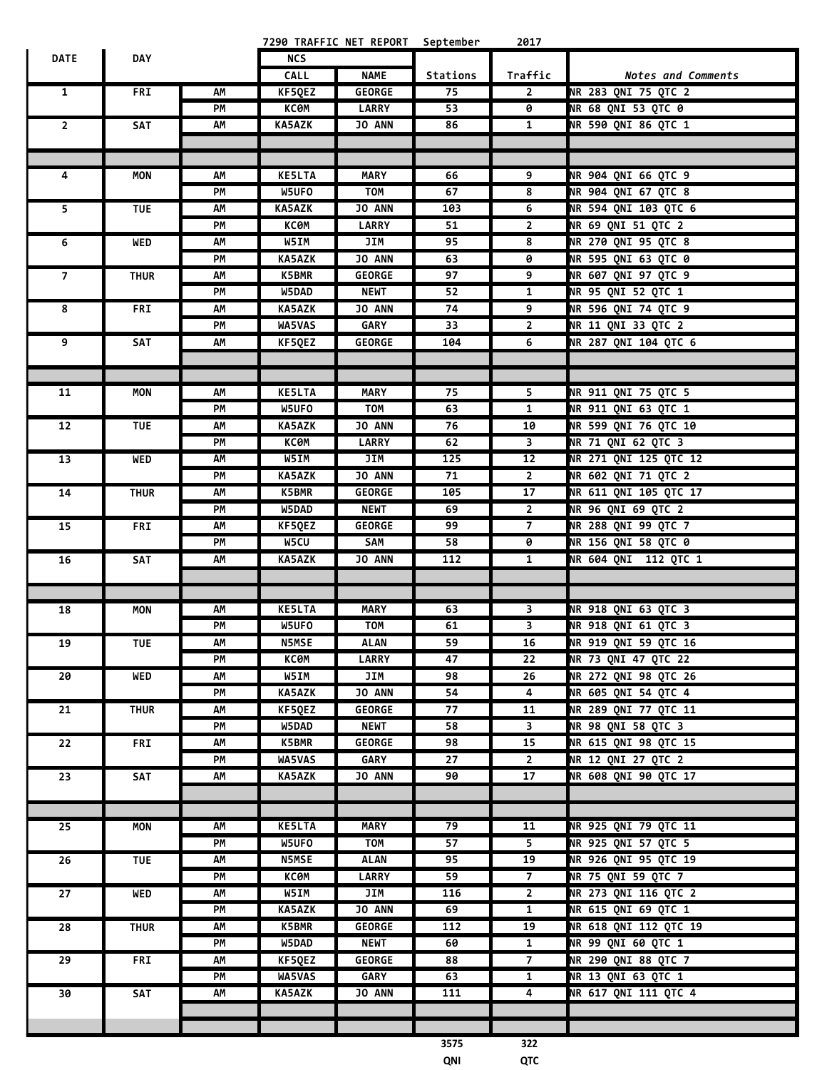|                |             |    |               | 7290 TRAFFIC NET REPORT September |                 | 2017                    |                            |
|----------------|-------------|----|---------------|-----------------------------------|-----------------|-------------------------|----------------------------|
| <b>DATE</b>    | <b>DAY</b>  |    | <b>NCS</b>    |                                   |                 |                         |                            |
|                |             |    | CALL          | <b>NAME</b>                       | <b>Stations</b> | Traffic                 | <b>Notes and Comments</b>  |
| $\mathbf{1}$   | <b>FRI</b>  | AM | KF5QEZ        | <b>GEORGE</b>                     | 75              | $\overline{2}$          | NR 283 QNI 75 QTC 2        |
|                |             | PM | КСӨМ          | <b>LARRY</b>                      | $\overline{53}$ | 0                       | NR 68 QNI 53 QTC 0         |
| $\overline{2}$ | <b>SAT</b>  | АΜ | KA5AZK        | JO ANN                            | 86              | $\mathbf{1}$            | NR 590 QNI 86 QTC 1        |
|                |             |    |               |                                   |                 |                         |                            |
|                |             |    |               |                                   |                 |                         |                            |
| 4              | MON         | AΜ | <b>KE5LTA</b> | <b>MARY</b>                       | 66              | 9                       | NR 904 QNI 66 QTC 9        |
|                |             | PM | W5UFO         | <b>TOM</b>                        | 67              | 8                       | NR 904 QNI 67 QTC 8        |
| 5.             | <b>TUE</b>  | AΜ | <b>KA5AZK</b> | JO ANN                            | 103             | 6                       | NR 594 QNI 103 QTC 6       |
|                |             | PM | ксөм          | <b>LARRY</b>                      | 51              | $\overline{2}$          | NR 69 QNI 51 QTC 2         |
|                |             |    |               |                                   |                 | 8                       |                            |
| 6              | <b>WED</b>  | AM | W5IM          | JIM                               | 95              |                         | NR 270 QNI 95 QTC 8        |
|                |             | PM | <b>KA5AZK</b> | <b>JO ANN</b>                     | 63              | 0                       | NR 595 QNI 63 QTC 0        |
| 7              | <b>THUR</b> | AΜ | K5BMR         | <b>GEORGE</b>                     | 97              | 9                       | NR 607 QNI 97 QTC 9        |
|                |             | PM | W5DAD         | <b>NEWT</b>                       | 52              | 1                       | NR 95 QNI 52 QTC 1         |
| 8              | <b>FRI</b>  | AΜ | <b>KA5AZK</b> | JO ANN                            | 74              | 9                       | NR 596 QNI 74 QTC 9        |
|                |             | PM | WA5VAS        | <b>GARY</b>                       | 33              | $\overline{2}$          | NR 11 QNI 33 QTC 2         |
| 9              | SAT         | AΜ | KF5QEZ        | <b>GEORGE</b>                     | 104             | 6                       | NR 287 QNI 104 QTC 6       |
|                |             |    |               |                                   |                 |                         |                            |
|                |             |    |               |                                   |                 |                         |                            |
| 11             | MON         | AM | <b>KE5LTA</b> | <b>MARY</b>                       | 75              | 5                       | NR 911 ONI 75 OTC 5        |
|                |             | PM | W5UFO         | <b>TOM</b>                        | 63              | $\mathbf{1}$            | NR 911 QNI 63 QTC 1        |
| 12             | <b>TUE</b>  | AΜ | KA5AZK        | JO ANN                            | 76              | 10                      | NR 599 QNI 76 QTC 10       |
|                |             | PM | <b>KCOM</b>   | <b>LARRY</b>                      | 62              | $\overline{\mathbf{3}}$ | NR 71 QNI 62 QTC 3         |
| 13             | WED         | AΜ | W5IM          | JIM                               | 125             | 12                      | NR 271 QNI 125 QTC 12      |
|                |             | PM | <b>KA5AZK</b> | JO ANN                            | 71              | $\overline{2}$          | NR 602 QNI 71 QTC 2        |
| 14             | <b>THUR</b> | AΜ | <b>K5BMR</b>  | <b>GEORGE</b>                     | 105             | 17                      | NR 611 QNI 105 QTC 17      |
|                |             | PM | W5DAD         | <b>NEWT</b>                       | 69              | $\overline{2}$          | NR 96 QNI 69 QTC 2         |
|                |             |    |               |                                   |                 |                         |                            |
| 15             | <b>FRI</b>  | AM | KF5QEZ        | <b>GEORGE</b>                     | 99              | $\overline{7}$          | <b>NR 288 QNI 99 QTC 7</b> |
|                |             | PM | W5CU          | SAM                               | 58              | 0                       | <b>NR 156 QNI 58 QTC 0</b> |
| 16             | SAT         | AΜ | <b>KA5AZK</b> | <b>JO ANN</b>                     | 112             | $\mathbf{1}$            | NR 604 QNI 112 QTC 1       |
|                |             |    |               |                                   |                 |                         |                            |
|                |             |    |               |                                   |                 |                         |                            |
| 18             | MON         | АΜ | <b>KE5LTA</b> | <b>MARY</b>                       | 63              | 3                       | NR 918 QNI 63 QTC 3        |
|                |             | PM | W5UFO         | TOM                               | 61              | $\overline{\mathbf{3}}$ | NR 918 QNI 61 QTC 3        |
| 19             | <b>TUE</b>  | ΛМ | N5MSE         | ALAN                              | 59              | 16                      | NR 919 QNI 59 QTC 16       |
|                |             | PM | КСӨМ          | <b>LARRY</b>                      | 47              | 22                      | NR 73 QNI 47 QTC 22        |
| 20             | WED         | AM | W5IM          | JIM                               | 98              | 26                      | NR 272 QNI 98 QTC 26       |
|                |             | PM | <b>KA5AZK</b> | JO ANN                            | 54              | 4                       | NR 605 QNI 54 QTC 4        |
| 21             | <b>THUR</b> | AΜ | KF5QEZ        | <b>GEORGE</b>                     | 77              | 11                      | NR 289 QNI 77 QTC 11       |
|                |             | PM | W5DAD         | <b>NEWT</b>                       | 58              | 3                       | NR 98 QNI 58 QTC 3         |
| 22             | FRI         | АΜ | K5BMR         | <b>GEORGE</b>                     | 98              | 15                      | NR 615 QNI 98 QTC 15       |
|                |             | PМ | WA5VAS        | GARY                              | 27              | $2^{\circ}$             | NR 12 QNI 27 QTC 2         |
| 23             | SAT         | АΜ | <b>KA5AZK</b> | <b>JO ANN</b>                     | 90              | 17                      | NR 608 QNI 90 QTC 17       |
|                |             |    |               |                                   |                 |                         |                            |
|                |             |    |               |                                   |                 |                         |                            |
| 25             | MON         | АΜ | <b>KE5LTA</b> | <b>MARY</b>                       | 79              | 11                      | NR 925 QNI 79 QTC 11       |
|                |             | PM | W5UFO         | <b>TOM</b>                        | 57              | 5                       | NR 925 QNI 57 QTC 5        |
| 26             | <b>TUE</b>  | АΜ | <b>N5MSE</b>  | <b>ALAN</b>                       | 95              | 19                      | NR 926 QNI 95 QTC 19       |
|                |             | PM | КСӨМ          | <b>LARRY</b>                      | 59              | $\overline{7}$          | NR 75 QNI 59 QTC 7         |
| 27             | WED         | АΜ | W5IM          | JIM                               | 116             | $\overline{2}$          | NR 273 QNI 116 QTC 2       |
|                |             |    |               | JO ANN                            | 69              |                         | NR 615 QNI 69 QTC 1        |
|                |             | PM | <b>KA5AZK</b> |                                   |                 | $\mathbf{1}$            |                            |
| 28             | <b>THUR</b> | AM | <b>K5BMR</b>  | <b>GEORGE</b>                     | 112             | 19                      | NR 618 QNI 112 QTC 19      |
|                |             | PM | W5DAD         | <b>NEWT</b>                       | 60              | $\mathbf{1}$            | <b>NR 99 QNI 60 QTC 1</b>  |
| 29             | FRI         | АΜ | KF5QEZ        | <b>GEORGE</b>                     | 88              | $\overline{7}$          | NR 290 QNI 88 QTC 7        |
|                |             | PM | WA5VAS        | GARY                              | 63              | 1                       | NR 13 QNI 63 QTC 1         |
| 30             | SAT         | AΜ | <b>KA5AZK</b> | JO ANN                            | 111             | 4                       | NR 617 QNI 111 QTC 4       |
|                |             |    |               |                                   |                 |                         |                            |
|                |             |    |               |                                   |                 |                         |                            |
|                |             |    |               |                                   | 3575            | 322                     |                            |
|                |             |    |               |                                   | QNI             | QTC                     |                            |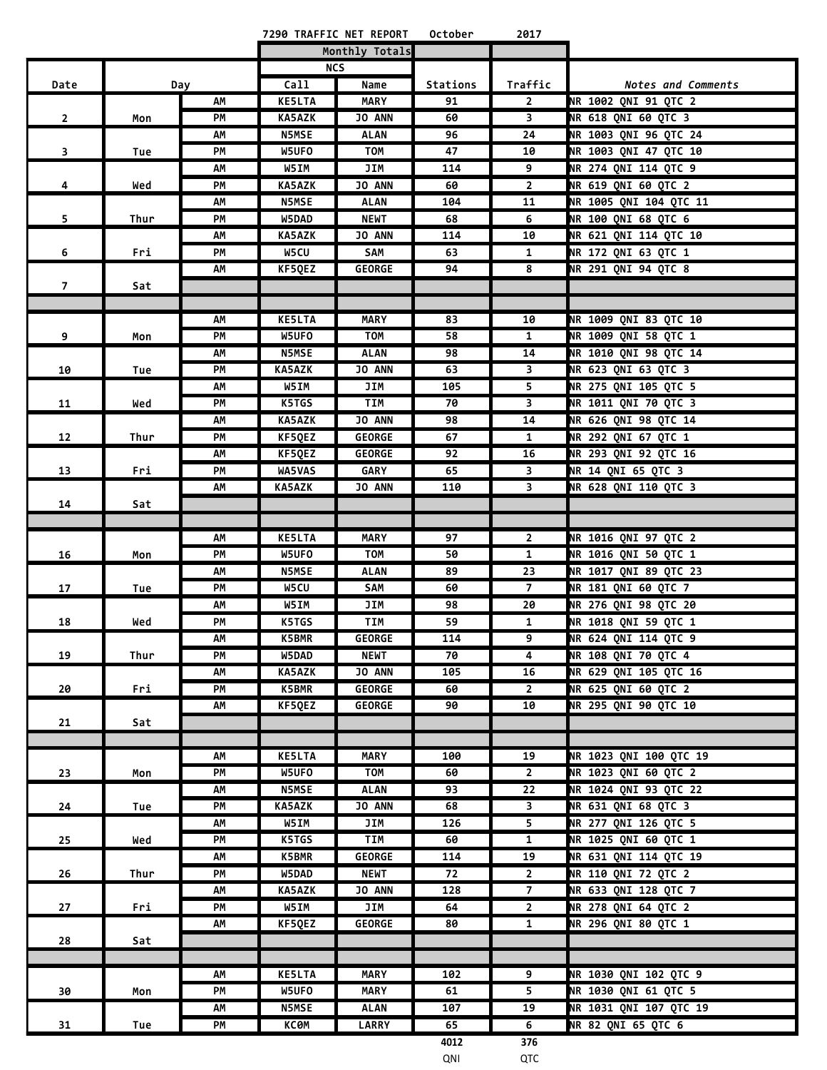|                |      |     |               | 7290 TRAFFIC NET REPORT | October  | 2017                    |                              |
|----------------|------|-----|---------------|-------------------------|----------|-------------------------|------------------------------|
|                |      |     |               | Monthly Totals          |          |                         |                              |
|                |      |     |               | <b>NCS</b>              |          |                         |                              |
| Date           |      | Day | Call          | Name                    | Stations | Traffic                 | Notes and Comments           |
|                |      | АΜ  | <b>KE5LTA</b> | <b>MARY</b>             | 91       | $\mathbf{2}$            | NR 1002 QNI 91 QTC 2         |
| $\overline{2}$ | Mon  | PM  | <b>KA5AZK</b> | <b>JO ANN</b>           | 60       | $\overline{\mathbf{3}}$ | NR 618 QNI 60 QTC 3          |
|                |      | АΜ  | <b>N5MSE</b>  | ALAN                    | 96       | 24                      | NR 1003 QNI 96 QTC 24        |
| 3              | Tue  | PМ  | W5UFO         | <b>TOM</b>              | 47       | 10                      | NR 1003 QNI 47 QTC 10        |
|                |      | АΜ  | W5IM          | JIM                     | 114      | 9                       | NR 274 QNI 114 QTC 9         |
| 4              | Wed  | PM  | <b>KA5AZK</b> | JO ANN                  | 60       | $\overline{2}$          | <b>NR 619 QNI 60 QTC 2</b>   |
|                |      | ΛМ  | <b>N5MSE</b>  | <b>ALAN</b>             | 104      | 11                      | NR 1005 QNI 104 QTC 11       |
| 5              | Thur | PМ  | W5DAD         | <b>NEWT</b>             | 68       | 6                       | <b>NR 100 QNI 68 QTC 6</b>   |
|                |      | АΜ  | <b>KA5AZK</b> | <b>JO ANN</b>           | 114      | 10                      | NR 621 QNI 114 QTC 10        |
| 6              | Fri  | PМ  | W5CU          | SAM                     | 63       | $\mathbf{1}$            | NR 172 QNI 63 QTC 1          |
|                |      | AΜ  | KF5QEZ        | <b>GEORGE</b>           | 94       | 8                       | NR 291 QNI 94 QTC 8          |
| $\overline{7}$ | Sat  |     |               |                         |          |                         |                              |
|                |      |     |               |                         |          |                         |                              |
|                |      | АΜ  | <b>KE5LTA</b> | <b>MARY</b>             | 83       | 10                      | <b>NR 1009 QNI 83 QTC 10</b> |
| 9              | Mon  | PM  | W5UFO         | TOM                     | 58       | $\mathbf{1}$            | NR 1009 QNI 58 QTC 1         |
|                |      | АΜ  | <b>N5MSE</b>  | ALAN                    | 98       | 14                      | <b>NR 1010 QNI 98 QTC 14</b> |
| 10             | Tue  | PМ  | KA5AZK        | <b>JO ANN</b>           | 63       | 3                       | NR 623 QNI 63 QTC 3          |
|                |      | АΜ  | W5IM          | JIM                     | 105      | 5                       | NR 275 QNI 105 QTC 5         |
| 11             | Wed  | PМ  | K5TGS         | TIM                     | 70       | $\overline{\mathbf{3}}$ | NR 1011 QNI 70 QTC 3         |
|                |      | АΜ  | KA5AZK        | <b>JO ANN</b>           | 98       | 14                      | <b>NR 626 QNI 98 QTC 14</b>  |
| 12             | Thur | PМ  | KF5QEZ        | <b>GEORGE</b>           | 67       | 1                       | NR 292 QNI 67 QTC 1          |
|                |      | АΜ  | KF5QEZ        | <b>GEORGE</b>           | 92       | 16                      | NR 293 QNI 92 QTC 16         |
| 13             | Fri  | PM  | WA5VAS        | <b>GARY</b>             | 65       | $\overline{\mathbf{3}}$ | NR 14 QNI 65 QTC 3           |
|                |      | AΜ  | KA5AZK        | JO ANN                  | 110      | 3                       | NR 628 QNI 110 QTC 3         |
| 14             | Sat  |     |               |                         |          |                         |                              |
|                |      |     |               |                         |          |                         |                              |
|                |      | AΜ  | <b>KE5LTA</b> | <b>MARY</b>             | 97       | $2^{\circ}$             | <b>NR 1016 QNI 97 QTC 2</b>  |
| 16             | Mon  | PМ  | W5UFO         | <b>TOM</b>              | 50       | $\mathbf{1}$            | <b>NR 1016 QNI 50 QTC 1</b>  |
|                |      | AΜ  | <b>N5MSE</b>  | <b>ALAN</b>             | 89       | 23                      | NR 1017 QNI 89 QTC 23        |
| 17             | Tue  | PM  | W5CU          | <b>SAM</b>              | 60       | $\overline{7}$          | NR 181 QNI 60 QTC 7          |
|                |      | АΜ  | W5IM          | JIM                     | 98       | 20                      | NR 276 QNI 98 QTC 20         |
| 18             | Wed  | PМ  | K5TGS         | TIM                     | 59       | $\mathbf{1}$            | NR 1018 QNI 59 QTC 1         |
|                |      | АM  | <b>K5BMR</b>  | <b>GEORGE</b>           | 114      | 9                       | <b>NR 624 QNI 114 QTC 9</b>  |
| 19             | Thur | PМ  | W5DAD         | <b>NEWT</b>             | 70       | 4                       | <b>NR 108 QNI 70 QTC 4</b>   |
|                |      | АΜ  | <b>KA5AZK</b> | <b>JO ANN</b>           | 105      | 16                      | NR 629 QNI 105 QTC 16        |
| 20             | Fri  | PМ  | <b>K5BMR</b>  | <b>GEORGE</b>           | 60       | $2^{\circ}$             | NR 625 QNI 60 QTC 2          |
|                |      | АΜ  | KF5QEZ        | <b>GEORGE</b>           | 90       | 10                      | NR 295 QNI 90 QTC 10         |
| 21             | Sat  |     |               |                         |          |                         |                              |
|                |      |     |               |                         |          |                         |                              |
|                |      | AΜ  | <b>KE5LTA</b> | <b>MARY</b>             | 100      | 19                      | NR 1023 QNI 100 QTC 19       |
| 23             | Mon  | PМ  | W5UFO         | <b>TOM</b>              | 60       | $\overline{2}$          | NR 1023 QNI 60 QTC 2         |
|                |      | АΜ  | <b>N5MSE</b>  | ALAN                    | 93       | 22                      | <b>NR 1024 QNI 93 QTC 22</b> |
| 24             | Tue  | PM  | <b>KA5AZK</b> | <b>JO ANN</b>           | 68       | $\overline{\mathbf{3}}$ | NR 631 QNI 68 QTC 3          |
|                |      | AM  | W5IM          | JIM                     | 126      |                         | NR 277 QNI 126 QTC 5         |
| 25             | Wed  | PM  | K5TGS         | TIM                     | 60       | $\mathbf{1}$            | NR 1025 QNI 60 QTC 1         |
|                |      | AΜ  | K5BMR         | <b>GEORGE</b>           | 114      | 19                      | NR 631 QNI 114 QTC 19        |
| 26             | Thur | PM  | W5DAD         | <b>NEWT</b>             | 72       | $\overline{2}$          | <b>NR 110 QNI 72 QTC 2</b>   |
|                |      | АM  | <b>KA5AZK</b> | <b>JO ANN</b>           | 128      | $\overline{7}$          | NR 633 QNI 128 QTC 7         |
| 27             | Fri  | PМ  | W5IM          | JIM                     | 64       | $\overline{2}$          | NR 278 QNI 64 QTC 2          |
|                |      | АМ  | KF5QEZ        | <b>GEORGE</b>           | 80       | $\mathbf{1}$            | NR 296 QNI 80 QTC 1          |
| 28             | Sat  |     |               |                         |          |                         |                              |
|                |      |     |               |                         |          |                         |                              |
|                |      | ΛМ  | <b>KE5LTA</b> | <b>MARY</b>             | 102      | 9                       | NR 1030 QNI 102 QTC 9        |
| 30             | Mon  | PM  | W5UFO         | <b>MARY</b>             | 61       | 5                       | NR 1030 QNI 61 QTC 5         |
|                |      | AΜ  | <b>N5MSE</b>  | <b>ALAN</b>             | 107      | 19                      | NR 1031 QNI 107 QTC 19       |
| 31             | Tue  | PМ  | КСӨМ          | <b>LARRY</b>            | 65       | 6                       | NR 82 QNI 65 QTC 6           |
|                |      |     |               |                         | 4012     | 376                     |                              |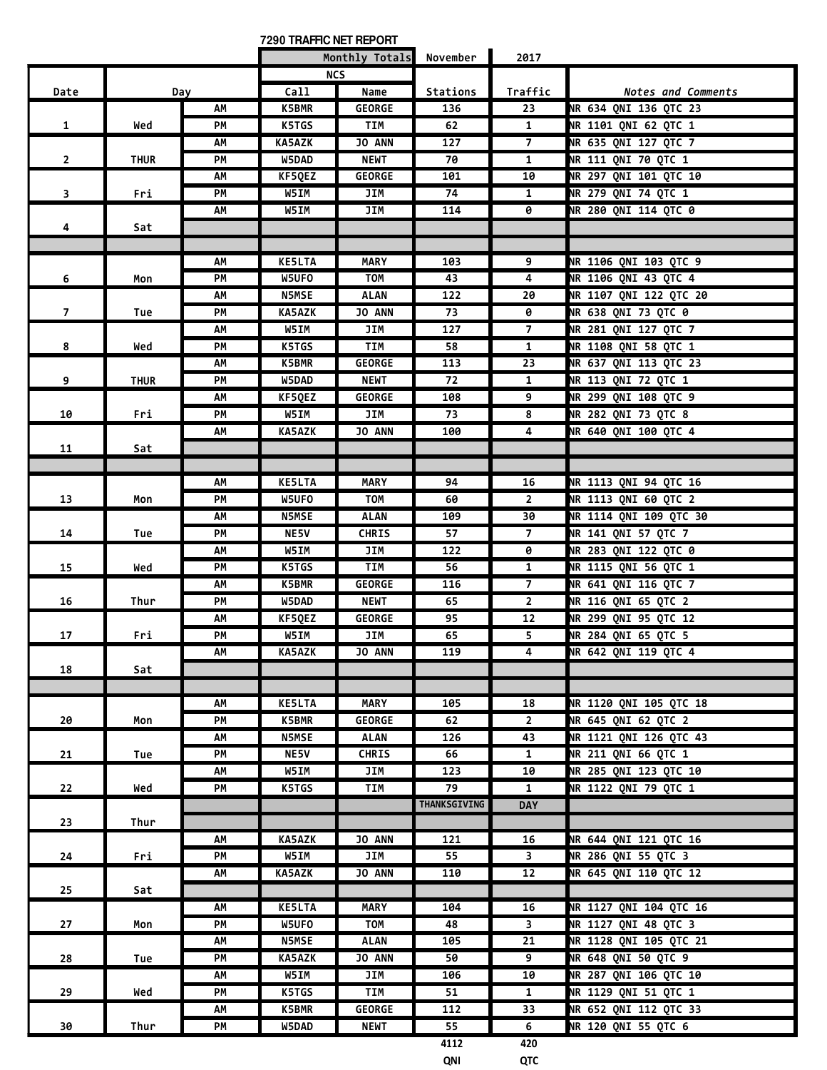**7290 TRAFFIC NET REPORT**

÷

|                |             |     |               | Monthly Totals November |              | 2017                    |                               |
|----------------|-------------|-----|---------------|-------------------------|--------------|-------------------------|-------------------------------|
|                |             |     |               | <b>NCS</b>              |              |                         |                               |
| Date           |             | Day | Call          | Name                    | Stations     | Traffic                 | Notes and Comments            |
|                |             | AΜ  | <b>K5BMR</b>  | <b>GEORGE</b>           | 136          | 23                      | NR 634 QNI 136 QTC 23         |
| $\mathbf{1}$   | Wed         | PM  | K5TGS         | <b>TIM</b>              | 62           | $\mathbf{1}$            | NR 1101 QNI 62 QTC 1          |
|                |             | AM  | KA5AZK        | JO ANN                  | 127          | $\overline{7}$          | NR 635 QNI 127 QTC 7          |
| $\overline{2}$ | <b>THUR</b> | PM  | W5DAD         | <b>NEWT</b>             | 70           | $\mathbf{1}$            | <b>NR 111 QNI 70 QTC 1</b>    |
|                |             | AΜ  | KF5QEZ        | <b>GEORGE</b>           | 101          | 10                      | <b>NR 297 QNI 101 QTC 10</b>  |
| 3              | Fri         | PМ  | W5IM          | JIM                     | 74           | $\mathbf{1}$            | <b>NR 279 QNI 74 QTC 1</b>    |
|                |             | AM  | W5IM          | JIM                     | 114          | 0                       | <b>NR 280 QNI 114 QTC 0</b>   |
| 4              | Sat         |     |               |                         |              |                         |                               |
|                |             |     |               |                         |              |                         |                               |
|                |             | AM  | <b>KE5LTA</b> | <b>MARY</b>             | 103          | 9                       | NR 1106 QNI 103 QTC 9         |
| 6              |             | PМ  | W5UFO         | TOM                     | 43           | 4                       | NR 1106 QNI 43 QTC 4          |
|                | Mon         |     |               |                         |              |                         | NR 1107 QNI 122 QTC 20        |
|                |             | AΜ  | <b>N5MSE</b>  | <b>ALAN</b>             | 122          | 20                      |                               |
| $\overline{7}$ | Tue         | PM  | KA5AZK        | <b>JO ANN</b>           | 73           | 0                       | <b>NR 638 QNI 73 QTC 0</b>    |
|                |             | АΜ  | W5IM          | JIM                     | 127          | $\overline{7}$          | NR 281 QNI 127 QTC 7          |
| 8              | Wed         | PМ  | K5TGS         | <b>TIM</b>              | 58           | 1                       | NR 1108 QNI 58 QTC 1          |
|                |             | АΜ  | K5BMR         | <b>GEORGE</b>           | 113          | 23                      | NR 637 QNI 113 QTC 23         |
| 9              | <b>THUR</b> | PМ  | W5DAD         | NEWT                    | 72           | 1                       | NR 113 QNI 72 QTC 1           |
|                |             | AM  | KF5QEZ        | <b>GEORGE</b>           | 108          | 9                       | NR 299 QNI 108 QTC 9          |
| 10             | Fri         | PМ  | W5IM          | JIM                     | 73           | 8                       | NR 282 QNI 73 QTC 8           |
|                |             | АΜ  | KA5AZK        | JO ANN                  | 100          | 4                       | NR 640 QNI 100 QTC 4          |
| 11             | Sat         |     |               |                         |              |                         |                               |
|                |             |     |               |                         |              |                         |                               |
|                |             | АΜ  | <b>KE5LTA</b> | <b>MARY</b>             | 94           | 16                      | NR 1113 QNI 94 QTC 16         |
| 13             | Mon         | PМ  | W5UFO         | <b>TOM</b>              | 60           | $\overline{2}$          | NR 1113 QNI 60 QTC 2          |
|                |             | AΜ  | N5MSE         | <b>ALAN</b>             | 109          | 30                      | <b>NR 1114 QNI 109 QTC 30</b> |
| 14             |             | PМ  | NE5V          | <b>CHRIS</b>            | 57           | $\overline{7}$          | <b>NR 141 QNI 57 QTC 7</b>    |
|                | Tue         | AΜ  | W5IM          | JIM                     | 122          | 0                       | <b>NR 283 QNI 122 QTC 0</b>   |
|                |             | PM  | K5TGS         | <b>TIM</b>              | 56           | $\mathbf{1}$            | NR 1115 QNI 56 QTC 1          |
| 15             | Wed         |     |               |                         |              |                         |                               |
|                |             | AΜ  | K5BMR         | <b>GEORGE</b>           | 116          | $\overline{7}$          | NR 641 QNI 116 QTC 7          |
| 16             | Thur        | PМ  | W5DAD         | <b>NEWT</b>             | 65           | $\overline{2}$          | NR 116 QNI 65 QTC 2           |
|                |             | AΜ  | KF5QEZ        | <b>GEORGE</b>           | 95           | 12                      | NR 299 QNI 95 QTC 12          |
| 17             | Fri         | PМ  | W5IM          | JIM                     | 65           | 5                       | NR 284 QNI 65 QTC 5           |
|                |             | AM  | KA5AZK        | <b>JO ANN</b>           | 119          | 4                       | NR 642 QNI 119 QTC 4          |
| 18             | Sat         |     |               |                         |              |                         |                               |
|                |             |     |               |                         |              |                         |                               |
|                |             | AM  | <b>KE5LTA</b> | <b>MARY</b>             | 105          | 18                      | NR 1120 QNI 105 QTC 18        |
| 20             | Mon         | PМ  | K5BMR         | <b>GEORGE</b>           | 62           | $\mathbf{2}$            | NR 645 QNI 62 QTC 2           |
|                |             | AM  | <b>N5MSE</b>  | <b>ALAN</b>             | 126          | 43                      | NR 1121 QNI 126 QTC 43        |
| 21             | Tue         | PM  | NE5V          | <b>CHRIS</b>            | 66           | $\mathbf{1}$            | NR 211 QNI 66 QTC 1           |
|                |             | АΜ  | W5IM          | JIM                     | 123          | 10                      | NR 285 QNI 123 QTC 10         |
| 22             | Wed         | PМ  | K5TGS         | TIM                     | 79           | $\mathbf{1}$            | NR 1122 QNI 79 QTC 1          |
|                |             |     |               |                         | THANKSGIVING | <b>DAY</b>              |                               |
| 23             | Thur        |     |               |                         |              |                         |                               |
|                |             | AM  | <b>KA5AZK</b> | JO ANN                  | 121          | 16                      | NR 644 QNI 121 QTC 16         |
| 24             | Fri         | PМ  | W5IM          | JIM                     | 55           | 3                       | NR 286 QNI 55 QTC 3           |
|                |             | AΜ  | KA5AZK        | <b>JO ANN</b>           | 110          | $12 \overline{ }$       | NR 645 QNI 110 QTC 12         |
|                |             |     |               |                         |              |                         |                               |
| 25             | Sat         |     |               |                         |              |                         |                               |
|                |             | AΜ  | <b>KE5LTA</b> | <b>MARY</b>             | 104          | 16                      | NR 1127 QNI 104 QTC 16        |
| 27             | Mon         | PM  | W5UFO         | <b>TOM</b>              | 48           | $\overline{\mathbf{3}}$ | NR 1127 QNI 48 QTC 3          |
|                |             | AΜ  | N5MSE         | <b>ALAN</b>             | 105          | 21                      | NR 1128 QNI 105 QTC 21        |
| 28             | Tue         | PМ  | <b>KA5AZK</b> | JO ANN                  | 50           | 9                       | <b>NR 648 QNI 50 QTC 9</b>    |
|                |             | AΜ  | W5IM          | JIM                     | 106          | 10                      | NR 287 QNI 106 QTC 10         |
| 29             | Wed         | PМ  | K5TGS         | <b>TIM</b>              | 51           | $\mathbf{1}$            | NR 1129 QNI 51 QTC 1          |
|                |             | AM  | K5BMR         | <b>GEORGE</b>           | 112          | 33                      | NR 652 QNI 112 QTC 33         |
| 30             | Thur        | PМ  | W5DAD         | <b>NEWT</b>             | 55           | 6                       | NR 120 QNI 55 QTC 6           |
|                |             |     |               |                         | 4112         | 420                     |                               |